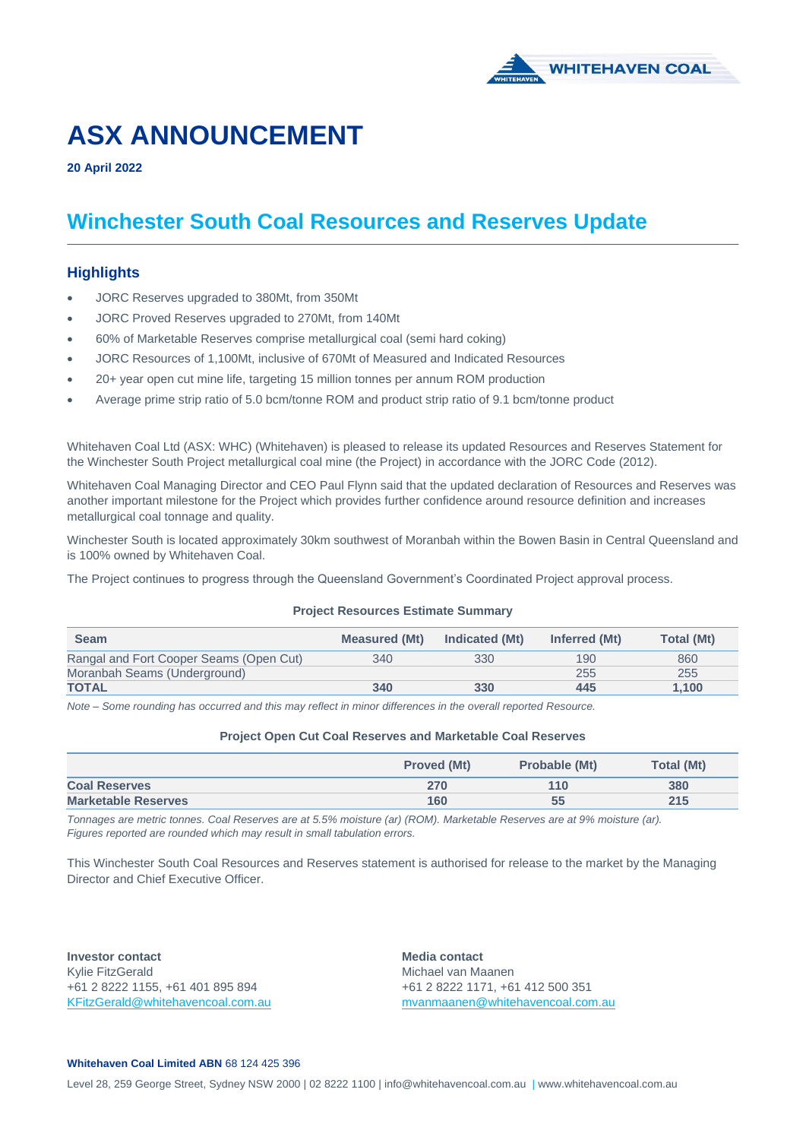

# **ASX ANNOUNCEMENT**

**20 April 2022**

## **Winchester South Coal Resources and Reserves Update**

#### **Highlights**

- JORC Reserves upgraded to 380Mt, from 350Mt
- JORC Proved Reserves upgraded to 270Mt, from 140Mt
- 60% of Marketable Reserves comprise metallurgical coal (semi hard coking)
- JORC Resources of 1,100Mt, inclusive of 670Mt of Measured and Indicated Resources
- 20+ year open cut mine life, targeting 15 million tonnes per annum ROM production
- Average prime strip ratio of 5.0 bcm/tonne ROM and product strip ratio of 9.1 bcm/tonne product

Whitehaven Coal Ltd (ASX: WHC) (Whitehaven) is pleased to release its updated Resources and Reserves Statement for the Winchester South Project metallurgical coal mine (the Project) in accordance with the JORC Code (2012).

Whitehaven Coal Managing Director and CEO Paul Flynn said that the updated declaration of Resources and Reserves was another important milestone for the Project which provides further confidence around resource definition and increases metallurgical coal tonnage and quality.

Winchester South is located approximately 30km southwest of Moranbah within the Bowen Basin in Central Queensland and is 100% owned by Whitehaven Coal.

The Project continues to progress through the Queensland Government's Coordinated Project approval process.

#### **Project Resources Estimate Summary**

| <b>Seam</b>                             | <b>Measured (Mt)</b> | Indicated (Mt) | Inferred (Mt) | Total (Mt) |
|-----------------------------------------|----------------------|----------------|---------------|------------|
| Rangal and Fort Cooper Seams (Open Cut) | 340                  | 330            | 190           | 860        |
| Moranbah Seams (Underground)            |                      |                | 255           | 255        |
| <b>TOTAL</b>                            | 340                  | 330            | 445           | 1.100      |

*Note – Some rounding has occurred and this may reflect in minor differences in the overall reported Resource.*

#### **Project Open Cut Coal Reserves and Marketable Coal Reserves**

|                            | <b>Proved (Mt)</b> | Probable (Mt) | <b>Total (Mt)</b> |
|----------------------------|--------------------|---------------|-------------------|
| <b>Coal Reserves</b>       |                    | 110           | 380               |
| <b>Marketable Reserves</b> | 160                | 55            | 215               |

*Tonnages are metric tonnes. Coal Reserves are at 5.5% moisture (ar) (ROM). Marketable Reserves are at 9% moisture (ar). Figures reported are rounded which may result in small tabulation errors.*

This Winchester South Coal Resources and Reserves statement is authorised for release to the market by the Managing Director and Chief Executive Officer.

**Investor contact** Kylie FitzGerald +61 2 8222 1155, +61 401 895 894 [KFitzGerald@whitehavencoal.com.au](mailto:smcnally@whitehavencoal.com.au)

**Media contact** Michael van Maanen +61 2 8222 1171, +61 412 500 351 [mvanmaanen@whitehavencoal.com.au](mailto:mvanmaanen@whitehavencoal.com.au)

#### **Whitehaven Coal Limited ABN** 68 124 425 396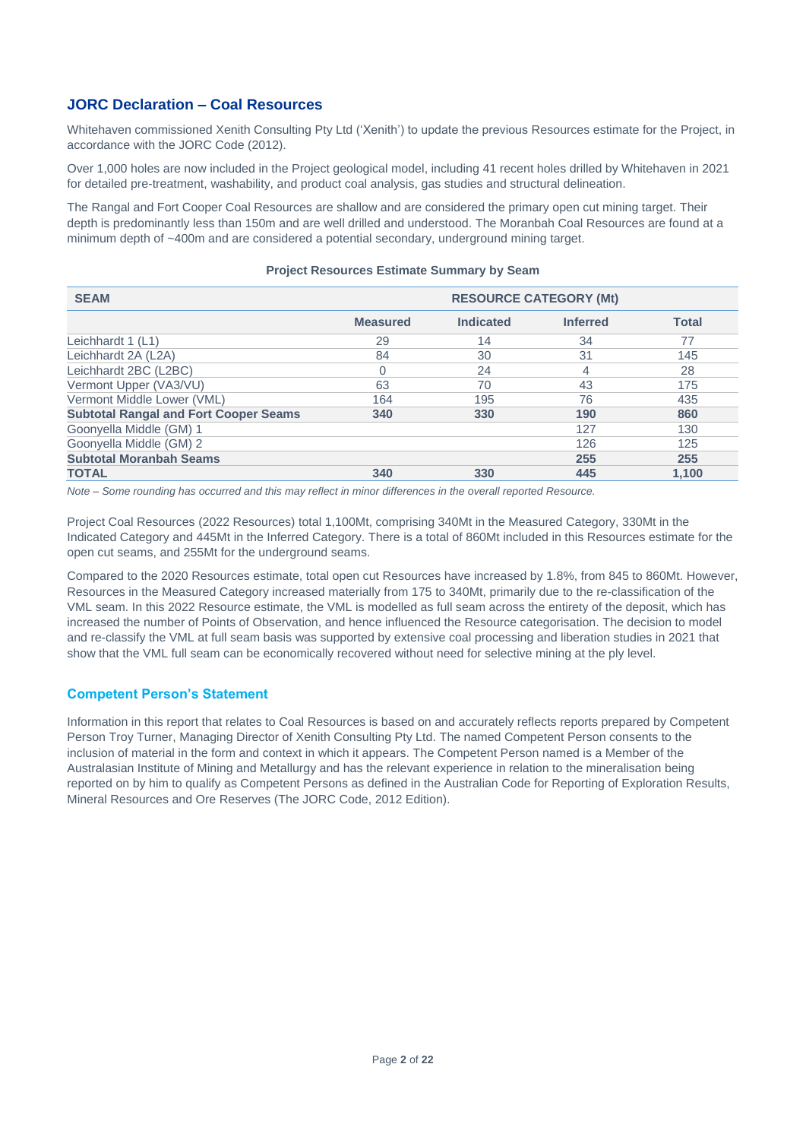#### **JORC Declaration – Coal Resources**

Whitehaven commissioned Xenith Consulting Pty Ltd ('Xenith') to update the previous Resources estimate for the Project, in accordance with the JORC Code (2012).

Over 1,000 holes are now included in the Project geological model, including 41 recent holes drilled by Whitehaven in 2021 for detailed pre-treatment, washability, and product coal analysis, gas studies and structural delineation.

The Rangal and Fort Cooper Coal Resources are shallow and are considered the primary open cut mining target. Their depth is predominantly less than 150m and are well drilled and understood. The Moranbah Coal Resources are found at a minimum depth of ~400m and are considered a potential secondary, underground mining target.

| <b>SEAM</b>                                  | <b>RESOURCE CATEGORY (Mt)</b> |                  |                 |              |  |
|----------------------------------------------|-------------------------------|------------------|-----------------|--------------|--|
|                                              | <b>Measured</b>               | <b>Indicated</b> | <b>Inferred</b> | <b>Total</b> |  |
| Leichhardt 1 (L1)                            | 29                            | 14               | 34              | 77           |  |
| Leichhardt 2A (L2A)                          | 84                            | 30               | 31              | 145          |  |
| Leichhardt 2BC (L2BC)                        | 0                             | 24               | 4               | 28           |  |
| Vermont Upper (VA3/VU)                       | 63                            | 70               | 43              | 175          |  |
| Vermont Middle Lower (VML)                   | 164                           | 195              | 76              | 435          |  |
| <b>Subtotal Rangal and Fort Cooper Seams</b> | 340                           | 330              | 190             | 860          |  |
| Goonyella Middle (GM) 1                      |                               |                  | 127             | 130          |  |
| Goonyella Middle (GM) 2                      |                               |                  | 126             | 125          |  |
| <b>Subtotal Moranbah Seams</b>               |                               |                  | 255             | 255          |  |
| <b>TOTAL</b>                                 | 340                           | 330              | 445             | 1,100        |  |

#### **Project Resources Estimate Summary by Seam**

*Note – Some rounding has occurred and this may reflect in minor differences in the overall reported Resource.*

Project Coal Resources (2022 Resources) total 1,100Mt, comprising 340Mt in the Measured Category, 330Mt in the Indicated Category and 445Mt in the Inferred Category. There is a total of 860Mt included in this Resources estimate for the open cut seams, and 255Mt for the underground seams.

Compared to the 2020 Resources estimate, total open cut Resources have increased by 1.8%, from 845 to 860Mt. However, Resources in the Measured Category increased materially from 175 to 340Mt, primarily due to the re-classification of the VML seam. In this 2022 Resource estimate, the VML is modelled as full seam across the entirety of the deposit, which has increased the number of Points of Observation, and hence influenced the Resource categorisation. The decision to model and re-classify the VML at full seam basis was supported by extensive coal processing and liberation studies in 2021 that show that the VML full seam can be economically recovered without need for selective mining at the ply level.

#### **Competent Person's Statement**

Information in this report that relates to Coal Resources is based on and accurately reflects reports prepared by Competent Person Troy Turner, Managing Director of Xenith Consulting Pty Ltd. The named Competent Person consents to the inclusion of material in the form and context in which it appears. The Competent Person named is a Member of the Australasian Institute of Mining and Metallurgy and has the relevant experience in relation to the mineralisation being reported on by him to qualify as Competent Persons as defined in the Australian Code for Reporting of Exploration Results, Mineral Resources and Ore Reserves (The JORC Code, 2012 Edition).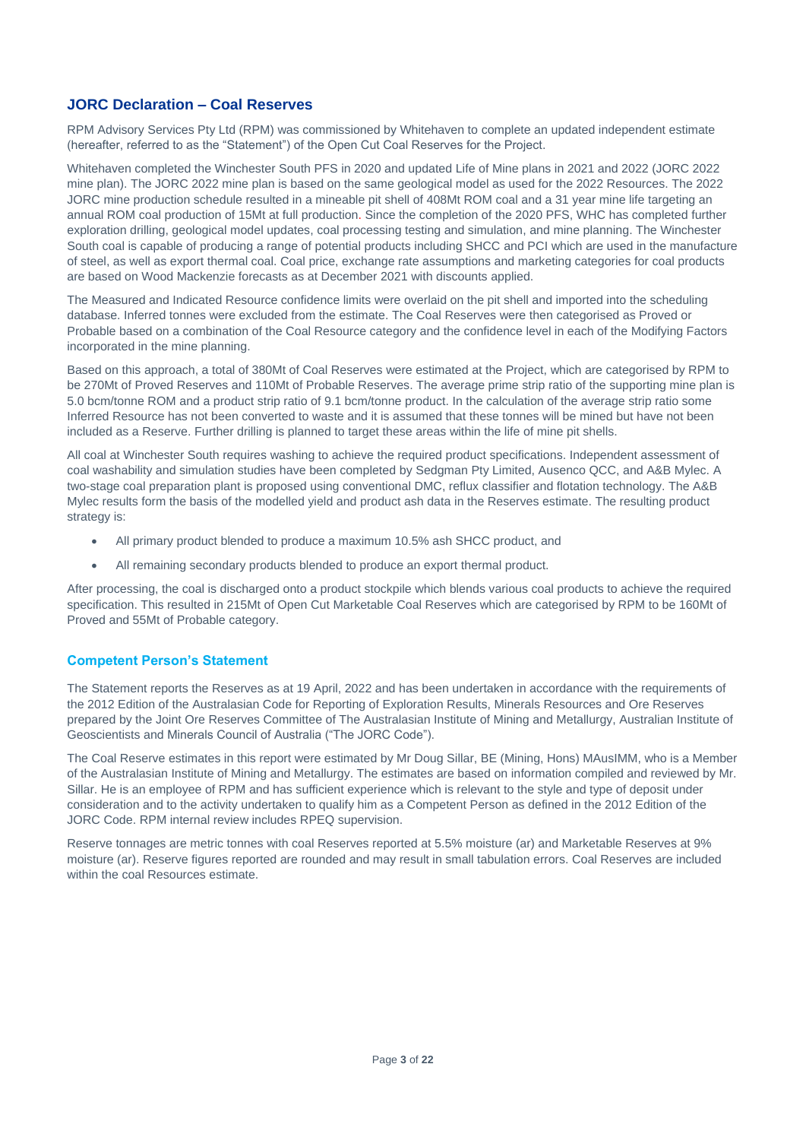#### **JORC Declaration – Coal Reserves**

RPM Advisory Services Pty Ltd (RPM) was commissioned by Whitehaven to complete an updated independent estimate (hereafter, referred to as the "Statement") of the Open Cut Coal Reserves for the Project.

Whitehaven completed the Winchester South PFS in 2020 and updated Life of Mine plans in 2021 and 2022 (JORC 2022 mine plan). The JORC 2022 mine plan is based on the same geological model as used for the 2022 Resources. The 2022 JORC mine production schedule resulted in a mineable pit shell of 408Mt ROM coal and a 31 year mine life targeting an annual ROM coal production of 15Mt at full production. Since the completion of the 2020 PFS, WHC has completed further exploration drilling, geological model updates, coal processing testing and simulation, and mine planning. The Winchester South coal is capable of producing a range of potential products including SHCC and PCI which are used in the manufacture of steel, as well as export thermal coal. Coal price, exchange rate assumptions and marketing categories for coal products are based on Wood Mackenzie forecasts as at December 2021 with discounts applied.

The Measured and Indicated Resource confidence limits were overlaid on the pit shell and imported into the scheduling database. Inferred tonnes were excluded from the estimate. The Coal Reserves were then categorised as Proved or Probable based on a combination of the Coal Resource category and the confidence level in each of the Modifying Factors incorporated in the mine planning.

Based on this approach, a total of 380Mt of Coal Reserves were estimated at the Project, which are categorised by RPM to be 270Mt of Proved Reserves and 110Mt of Probable Reserves. The average prime strip ratio of the supporting mine plan is 5.0 bcm/tonne ROM and a product strip ratio of 9.1 bcm/tonne product. In the calculation of the average strip ratio some Inferred Resource has not been converted to waste and it is assumed that these tonnes will be mined but have not been included as a Reserve. Further drilling is planned to target these areas within the life of mine pit shells.

All coal at Winchester South requires washing to achieve the required product specifications. Independent assessment of coal washability and simulation studies have been completed by Sedgman Pty Limited, Ausenco QCC, and A&B Mylec. A two-stage coal preparation plant is proposed using conventional DMC, reflux classifier and flotation technology. The A&B Mylec results form the basis of the modelled yield and product ash data in the Reserves estimate. The resulting product strategy is:

- All primary product blended to produce a maximum 10.5% ash SHCC product, and
- All remaining secondary products blended to produce an export thermal product.

After processing, the coal is discharged onto a product stockpile which blends various coal products to achieve the required specification. This resulted in 215Mt of Open Cut Marketable Coal Reserves which are categorised by RPM to be 160Mt of Proved and 55Mt of Probable category.

#### **Competent Person's Statement**

The Statement reports the Reserves as at 19 April, 2022 and has been undertaken in accordance with the requirements of the 2012 Edition of the Australasian Code for Reporting of Exploration Results, Minerals Resources and Ore Reserves prepared by the Joint Ore Reserves Committee of The Australasian Institute of Mining and Metallurgy, Australian Institute of Geoscientists and Minerals Council of Australia ("The JORC Code").

The Coal Reserve estimates in this report were estimated by Mr Doug Sillar, BE (Mining, Hons) MAusIMM, who is a Member of the Australasian Institute of Mining and Metallurgy. The estimates are based on information compiled and reviewed by Mr. Sillar. He is an employee of RPM and has sufficient experience which is relevant to the style and type of deposit under consideration and to the activity undertaken to qualify him as a Competent Person as defined in the 2012 Edition of the JORC Code. RPM internal review includes RPEQ supervision.

Reserve tonnages are metric tonnes with coal Reserves reported at 5.5% moisture (ar) and Marketable Reserves at 9% moisture (ar). Reserve figures reported are rounded and may result in small tabulation errors. Coal Reserves are included within the coal Resources estimate.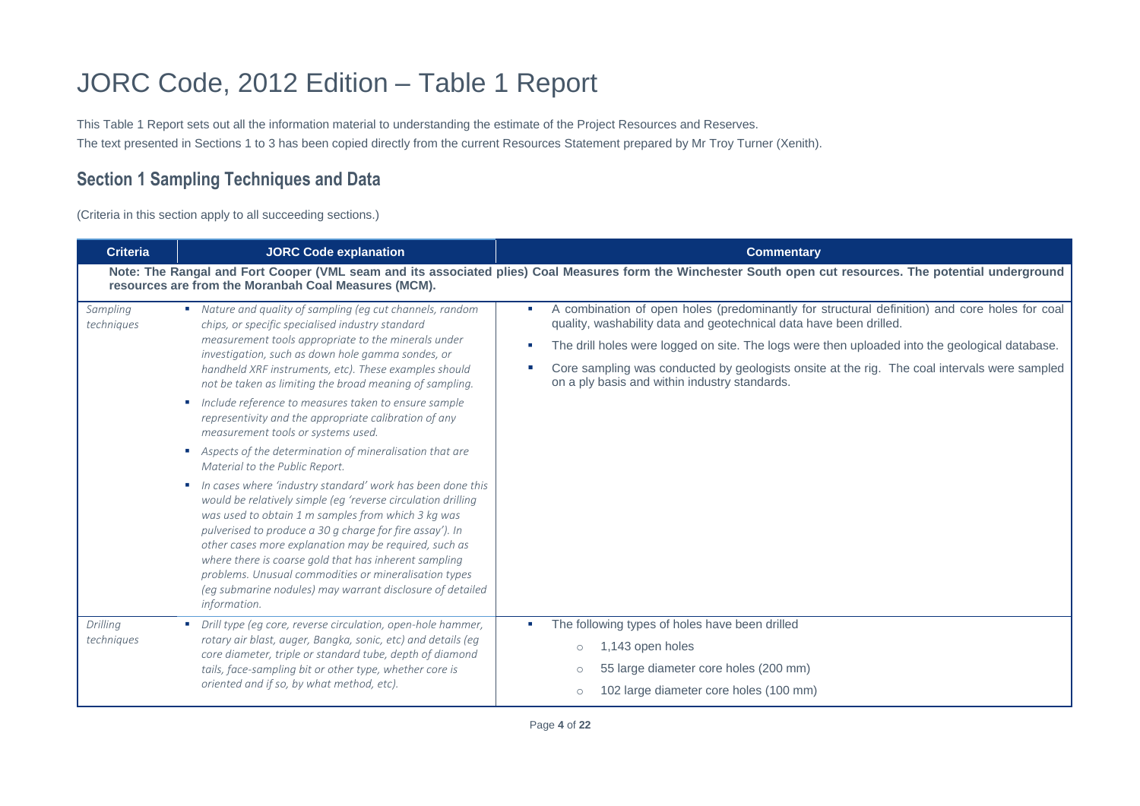# JORC Code, 2012 Edition – Table 1 Report

This Table 1 Report sets out all the information material to understanding the estimate of the Project Resources and Reserves. The text presented in Sections 1 to 3 has been copied directly from the current Resources Statement prepared by Mr Troy Turner (Xenith).

### **Section 1 Sampling Techniques and Data**

(Criteria in this section apply to all succeeding sections.)

| <b>Criteria</b>        | <b>JORC Code explanation</b>                                                                                                                                                                                                                                                                                                                                                                                                                                                                                                                                                                                                                                                                                                                                                                                                                                                                                                                                                                                                                                                                              | <b>Commentary</b>                                                                                                                                                                                                                                                                                                                                                                                                      |
|------------------------|-----------------------------------------------------------------------------------------------------------------------------------------------------------------------------------------------------------------------------------------------------------------------------------------------------------------------------------------------------------------------------------------------------------------------------------------------------------------------------------------------------------------------------------------------------------------------------------------------------------------------------------------------------------------------------------------------------------------------------------------------------------------------------------------------------------------------------------------------------------------------------------------------------------------------------------------------------------------------------------------------------------------------------------------------------------------------------------------------------------|------------------------------------------------------------------------------------------------------------------------------------------------------------------------------------------------------------------------------------------------------------------------------------------------------------------------------------------------------------------------------------------------------------------------|
|                        | resources are from the Moranbah Coal Measures (MCM).                                                                                                                                                                                                                                                                                                                                                                                                                                                                                                                                                                                                                                                                                                                                                                                                                                                                                                                                                                                                                                                      | Note: The Rangal and Fort Cooper (VML seam and its associated plies) Coal Measures form the Winchester South open cut resources. The potential underground                                                                                                                                                                                                                                                             |
| Sampling<br>techniques | • Nature and quality of sampling (eg cut channels, random<br>chips, or specific specialised industry standard<br>measurement tools appropriate to the minerals under<br>investigation, such as down hole gamma sondes, or<br>handheld XRF instruments, etc). These examples should<br>not be taken as limiting the broad meaning of sampling.<br>Include reference to measures taken to ensure sample<br>representivity and the appropriate calibration of any<br>measurement tools or systems used.<br>Aspects of the determination of mineralisation that are<br>Material to the Public Report.<br>In cases where 'industry standard' work has been done this<br>would be relatively simple (eg 'reverse circulation drilling<br>was used to obtain 1 m samples from which 3 kg was<br>pulverised to produce a 30 g charge for fire assay'). In<br>other cases more explanation may be required, such as<br>where there is coarse gold that has inherent sampling<br>problems. Unusual commodities or mineralisation types<br>(eg submarine nodules) may warrant disclosure of detailed<br>information. | A combination of open holes (predominantly for structural definition) and core holes for coal<br>quality, washability data and geotechnical data have been drilled.<br>The drill holes were logged on site. The logs were then uploaded into the geological database.<br>Core sampling was conducted by geologists onsite at the rig. The coal intervals were sampled<br>on a ply basis and within industry standards. |
| Drilling<br>techniques | • Drill type (eg core, reverse circulation, open-hole hammer,<br>rotary air blast, auger, Bangka, sonic, etc) and details (eg<br>core diameter, triple or standard tube, depth of diamond<br>tails, face-sampling bit or other type, whether core is<br>oriented and if so, by what method, etc).                                                                                                                                                                                                                                                                                                                                                                                                                                                                                                                                                                                                                                                                                                                                                                                                         | The following types of holes have been drilled<br>1,143 open holes<br>$\circ$<br>55 large diameter core holes (200 mm)<br>$\circ$<br>102 large diameter core holes (100 mm)<br>$\circ$                                                                                                                                                                                                                                 |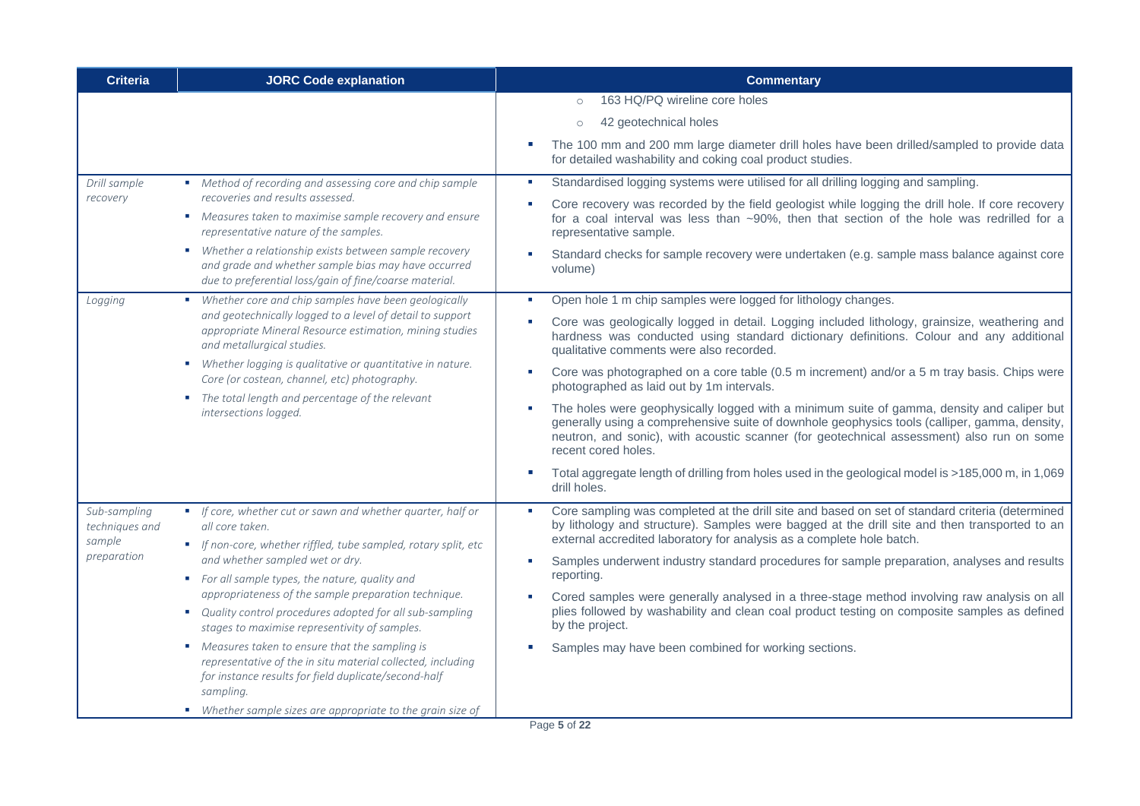| <b>Criteria</b>                                         | <b>JORC Code explanation</b>                                                                                                                                                                                                                                                                                                                                                                                                                                                                                                                                                                                                                                  | <b>Commentary</b>                                                                                                                                                                                                                                                                                                                                                                                                                                                                                                                                                                                                                                                                                                                                                                                                                                                                          |
|---------------------------------------------------------|---------------------------------------------------------------------------------------------------------------------------------------------------------------------------------------------------------------------------------------------------------------------------------------------------------------------------------------------------------------------------------------------------------------------------------------------------------------------------------------------------------------------------------------------------------------------------------------------------------------------------------------------------------------|--------------------------------------------------------------------------------------------------------------------------------------------------------------------------------------------------------------------------------------------------------------------------------------------------------------------------------------------------------------------------------------------------------------------------------------------------------------------------------------------------------------------------------------------------------------------------------------------------------------------------------------------------------------------------------------------------------------------------------------------------------------------------------------------------------------------------------------------------------------------------------------------|
| Drill sample                                            | • Method of recording and assessing core and chip sample                                                                                                                                                                                                                                                                                                                                                                                                                                                                                                                                                                                                      | 163 HQ/PQ wireline core holes<br>$\circ$<br>42 geotechnical holes<br>$\circ$<br>The 100 mm and 200 mm large diameter drill holes have been drilled/sampled to provide data<br>for detailed washability and coking coal product studies.<br>Standardised logging systems were utilised for all drilling logging and sampling.                                                                                                                                                                                                                                                                                                                                                                                                                                                                                                                                                               |
| recovery                                                | recoveries and results assessed.<br>• Measures taken to maximise sample recovery and ensure<br>representative nature of the samples.<br>• Whether a relationship exists between sample recovery<br>and grade and whether sample bias may have occurred<br>due to preferential loss/gain of fine/coarse material.                                                                                                                                                                                                                                                                                                                                              | Core recovery was recorded by the field geologist while logging the drill hole. If core recovery<br>for a coal interval was less than $\sim 90\%$ , then that section of the hole was redrilled for a<br>representative sample.<br>Standard checks for sample recovery were undertaken (e.g. sample mass balance against core<br>volume)                                                                                                                                                                                                                                                                                                                                                                                                                                                                                                                                                   |
| Logging                                                 | Whether core and chip samples have been geologically<br>and geotechnically logged to a level of detail to support<br>appropriate Mineral Resource estimation, mining studies<br>and metallurgical studies.<br>• Whether logging is qualitative or quantitative in nature.<br>Core (or costean, channel, etc) photography.<br>• The total length and percentage of the relevant<br>intersections logged.                                                                                                                                                                                                                                                       | Open hole 1 m chip samples were logged for lithology changes.<br>Core was geologically logged in detail. Logging included lithology, grainsize, weathering and<br>hardness was conducted using standard dictionary definitions. Colour and any additional<br>qualitative comments were also recorded.<br>Core was photographed on a core table (0.5 m increment) and/or a 5 m tray basis. Chips were<br>photographed as laid out by 1m intervals.<br>The holes were geophysically logged with a minimum suite of gamma, density and caliper but<br>generally using a comprehensive suite of downhole geophysics tools (calliper, gamma, density,<br>neutron, and sonic), with acoustic scanner (for geotechnical assessment) also run on some<br>recent cored holes.<br>Total aggregate length of drilling from holes used in the geological model is >185,000 m, in 1,069<br>drill holes. |
| Sub-sampling<br>techniques and<br>sample<br>preparation | If core, whether cut or sawn and whether quarter, half or<br>all core taken.<br>If non-core, whether riffled, tube sampled, rotary split, etc<br>and whether sampled wet or dry.<br>For all sample types, the nature, quality and<br>appropriateness of the sample preparation technique.<br>• Quality control procedures adopted for all sub-sampling<br>stages to maximise representivity of samples.<br>• Measures taken to ensure that the sampling is<br>representative of the in situ material collected, including<br>for instance results for field duplicate/second-half<br>sampling.<br>• Whether sample sizes are appropriate to the grain size of | Core sampling was completed at the drill site and based on set of standard criteria (determined<br>by lithology and structure). Samples were bagged at the drill site and then transported to an<br>external accredited laboratory for analysis as a complete hole batch.<br>Samples underwent industry standard procedures for sample preparation, analyses and results<br>reporting.<br>Cored samples were generally analysed in a three-stage method involving raw analysis on all<br>plies followed by washability and clean coal product testing on composite samples as defined<br>by the project.<br>Samples may have been combined for working sections.                                                                                                                                                                                                                           |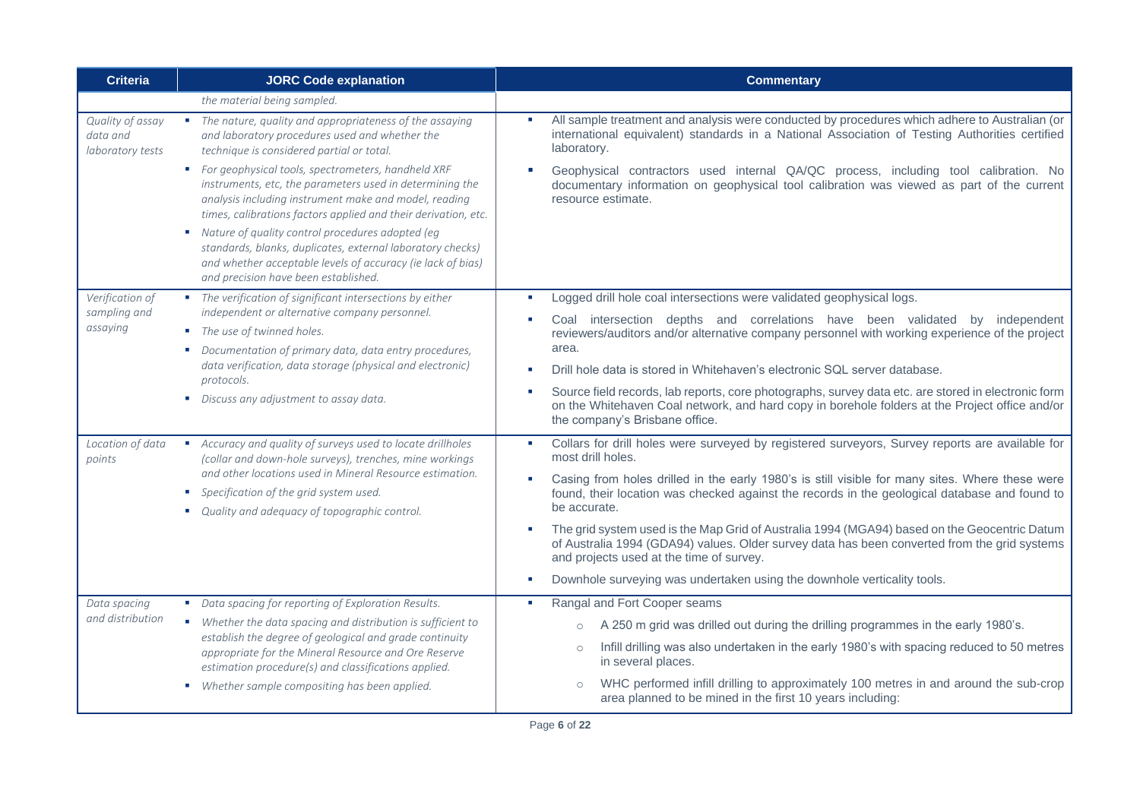| <b>Criteria</b>                                                                                                                                                             | <b>JORC Code explanation</b>                                                                                                                                                                                                                | <b>Commentary</b>                                                                                                                                                                                                                        |  |  |
|-----------------------------------------------------------------------------------------------------------------------------------------------------------------------------|---------------------------------------------------------------------------------------------------------------------------------------------------------------------------------------------------------------------------------------------|------------------------------------------------------------------------------------------------------------------------------------------------------------------------------------------------------------------------------------------|--|--|
|                                                                                                                                                                             | the material being sampled.                                                                                                                                                                                                                 |                                                                                                                                                                                                                                          |  |  |
| Quality of assay<br>data and<br>laboratory tests                                                                                                                            | • The nature, quality and appropriateness of the assaying<br>and laboratory procedures used and whether the<br>technique is considered partial or total.                                                                                    | All sample treatment and analysis were conducted by procedures which adhere to Australian (or<br>international equivalent) standards in a National Association of Testing Authorities certified<br>laboratory.                           |  |  |
|                                                                                                                                                                             | ■ For geophysical tools, spectrometers, handheld XRF<br>instruments, etc, the parameters used in determining the<br>analysis including instrument make and model, reading<br>times, calibrations factors applied and their derivation, etc. | Geophysical contractors used internal QA/QC process, including tool calibration. No<br>documentary information on geophysical tool calibration was viewed as part of the current<br>resource estimate.                                   |  |  |
|                                                                                                                                                                             | • Nature of quality control procedures adopted (eg<br>standards, blanks, duplicates, external laboratory checks)<br>and whether acceptable levels of accuracy (ie lack of bias)<br>and precision have been established.                     |                                                                                                                                                                                                                                          |  |  |
| Verification of                                                                                                                                                             | • The verification of significant intersections by either                                                                                                                                                                                   | Logged drill hole coal intersections were validated geophysical logs.                                                                                                                                                                    |  |  |
| assaying                                                                                                                                                                    | sampling and<br>independent or alternative company personnel.<br>" The use of twinned holes.                                                                                                                                                | Coal intersection depths and correlations have been validated by independent<br>reviewers/auditors and/or alternative company personnel with working experience of the project                                                           |  |  |
| Documentation of primary data, data entry procedures,<br>data verification, data storage (physical and electronic)<br>protocols.<br>• Discuss any adjustment to assay data. | area.                                                                                                                                                                                                                                       |                                                                                                                                                                                                                                          |  |  |
|                                                                                                                                                                             | Drill hole data is stored in Whitehaven's electronic SQL server database.                                                                                                                                                                   |                                                                                                                                                                                                                                          |  |  |
|                                                                                                                                                                             | Source field records, lab reports, core photographs, survey data etc. are stored in electronic form<br>on the Whitehaven Coal network, and hard copy in borehole folders at the Project office and/or<br>the company's Brisbane office.     |                                                                                                                                                                                                                                          |  |  |
| Location of data<br>points                                                                                                                                                  | Accuracy and quality of surveys used to locate drillholes<br>(collar and down-hole surveys), trenches, mine workings                                                                                                                        | Collars for drill holes were surveyed by registered surveyors, Survey reports are available for<br>most drill holes.                                                                                                                     |  |  |
| and other locations used in Mineral Resource estimation.<br>• Specification of the grid system used.                                                                        | Casing from holes drilled in the early 1980's is still visible for many sites. Where these were<br>found, their location was checked against the records in the geological database and found to<br>be accurate.                            |                                                                                                                                                                                                                                          |  |  |
|                                                                                                                                                                             | Quality and adequacy of topographic control.                                                                                                                                                                                                | The grid system used is the Map Grid of Australia 1994 (MGA94) based on the Geocentric Datum<br>of Australia 1994 (GDA94) values. Older survey data has been converted from the grid systems<br>and projects used at the time of survey. |  |  |
|                                                                                                                                                                             |                                                                                                                                                                                                                                             | Downhole surveying was undertaken using the downhole verticality tools.<br>×                                                                                                                                                             |  |  |
| Data spacing                                                                                                                                                                | • Data spacing for reporting of Exploration Results.                                                                                                                                                                                        | Rangal and Fort Cooper seams<br>٠                                                                                                                                                                                                        |  |  |
| and distribution                                                                                                                                                            | • Whether the data spacing and distribution is sufficient to                                                                                                                                                                                | A 250 m grid was drilled out during the drilling programmes in the early 1980's.<br>$\circ$                                                                                                                                              |  |  |
|                                                                                                                                                                             | establish the degree of geological and grade continuity<br>appropriate for the Mineral Resource and Ore Reserve<br>estimation procedure(s) and classifications applied.                                                                     | Infill drilling was also undertaken in the early 1980's with spacing reduced to 50 metres<br>$\circ$<br>in several places.                                                                                                               |  |  |
|                                                                                                                                                                             | • Whether sample compositing has been applied.                                                                                                                                                                                              | WHC performed infill drilling to approximately 100 metres in and around the sub-crop<br>$\circ$<br>area planned to be mined in the first 10 years including:                                                                             |  |  |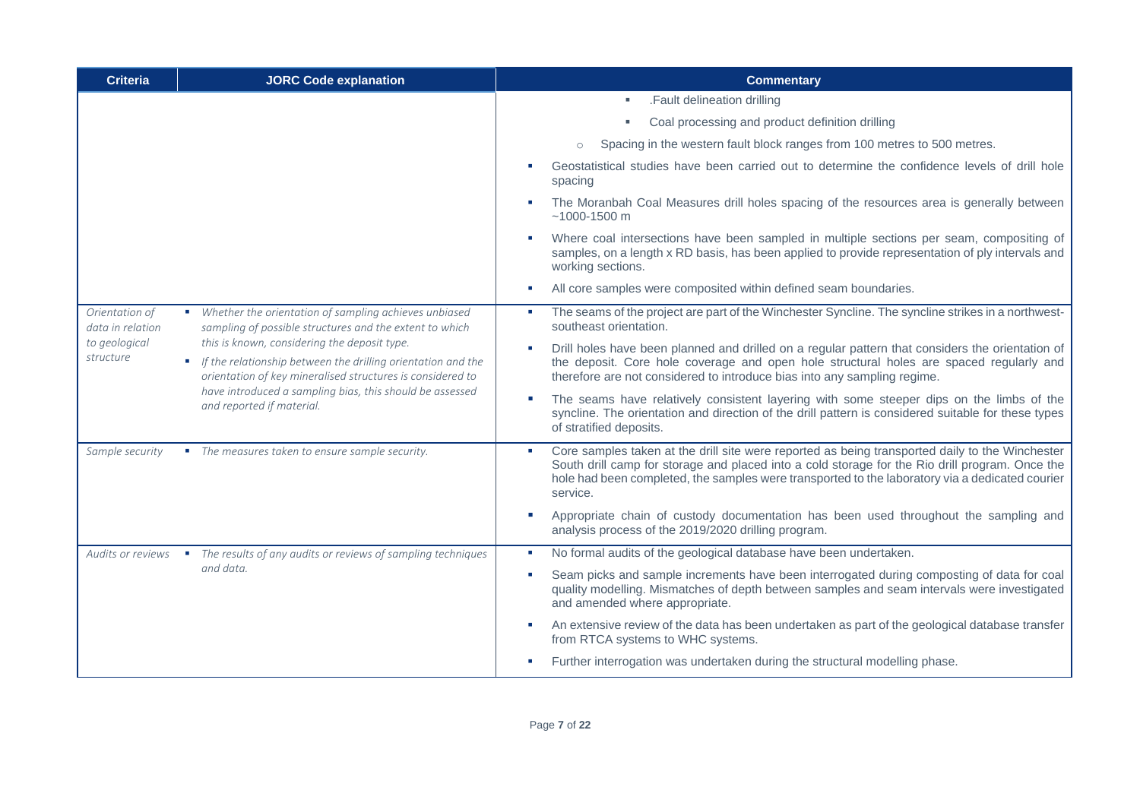| <b>Criteria</b>                                                                                                                                                                                                                                                                                                                                                                                                                                               | <b>JORC Code explanation</b>                                                                                                                                | <b>Commentary</b>                                                                                                                                                                                                                                                                                                 |
|---------------------------------------------------------------------------------------------------------------------------------------------------------------------------------------------------------------------------------------------------------------------------------------------------------------------------------------------------------------------------------------------------------------------------------------------------------------|-------------------------------------------------------------------------------------------------------------------------------------------------------------|-------------------------------------------------------------------------------------------------------------------------------------------------------------------------------------------------------------------------------------------------------------------------------------------------------------------|
|                                                                                                                                                                                                                                                                                                                                                                                                                                                               |                                                                                                                                                             | .Fault delineation drilling<br>×,                                                                                                                                                                                                                                                                                 |
|                                                                                                                                                                                                                                                                                                                                                                                                                                                               |                                                                                                                                                             | Coal processing and product definition drilling<br>٠                                                                                                                                                                                                                                                              |
|                                                                                                                                                                                                                                                                                                                                                                                                                                                               |                                                                                                                                                             | Spacing in the western fault block ranges from 100 metres to 500 metres.                                                                                                                                                                                                                                          |
|                                                                                                                                                                                                                                                                                                                                                                                                                                                               |                                                                                                                                                             | Geostatistical studies have been carried out to determine the confidence levels of drill hole<br>spacing                                                                                                                                                                                                          |
|                                                                                                                                                                                                                                                                                                                                                                                                                                                               |                                                                                                                                                             | The Moranbah Coal Measures drill holes spacing of the resources area is generally between<br>$~1000 - 1500$ m                                                                                                                                                                                                     |
|                                                                                                                                                                                                                                                                                                                                                                                                                                                               |                                                                                                                                                             | Where coal intersections have been sampled in multiple sections per seam, compositing of<br>samples, on a length x RD basis, has been applied to provide representation of ply intervals and<br>working sections.                                                                                                 |
|                                                                                                                                                                                                                                                                                                                                                                                                                                                               |                                                                                                                                                             | All core samples were composited within defined seam boundaries.                                                                                                                                                                                                                                                  |
| Orientation of<br>• Whether the orientation of sampling achieves unbiased<br>sampling of possible structures and the extent to which<br>data in relation<br>this is known, considering the deposit type.<br>to geological<br>structure<br>If the relationship between the drilling orientation and the<br>orientation of key mineralised structures is considered to<br>have introduced a sampling bias, this should be assessed<br>and reported if material. | The seams of the project are part of the Winchester Syncline. The syncline strikes in a northwest-<br>$\mathcal{L}_{\mathcal{A}}$<br>southeast orientation. |                                                                                                                                                                                                                                                                                                                   |
|                                                                                                                                                                                                                                                                                                                                                                                                                                                               |                                                                                                                                                             | Drill holes have been planned and drilled on a regular pattern that considers the orientation of                                                                                                                                                                                                                  |
|                                                                                                                                                                                                                                                                                                                                                                                                                                                               |                                                                                                                                                             | the deposit. Core hole coverage and open hole structural holes are spaced regularly and<br>therefore are not considered to introduce bias into any sampling regime.                                                                                                                                               |
|                                                                                                                                                                                                                                                                                                                                                                                                                                                               |                                                                                                                                                             | The seams have relatively consistent layering with some steeper dips on the limbs of the<br>syncline. The orientation and direction of the drill pattern is considered suitable for these types<br>of stratified deposits.                                                                                        |
| Sample security                                                                                                                                                                                                                                                                                                                                                                                                                                               | • The measures taken to ensure sample security.                                                                                                             | Core samples taken at the drill site were reported as being transported daily to the Winchester<br>South drill camp for storage and placed into a cold storage for the Rio drill program. Once the<br>hole had been completed, the samples were transported to the laboratory via a dedicated courier<br>service. |
|                                                                                                                                                                                                                                                                                                                                                                                                                                                               |                                                                                                                                                             | Appropriate chain of custody documentation has been used throughout the sampling and<br>analysis process of the 2019/2020 drilling program.                                                                                                                                                                       |
| Audits or reviews                                                                                                                                                                                                                                                                                                                                                                                                                                             | • The results of any audits or reviews of sampling techniques                                                                                               | No formal audits of the geological database have been undertaken.                                                                                                                                                                                                                                                 |
|                                                                                                                                                                                                                                                                                                                                                                                                                                                               | and data.                                                                                                                                                   | Seam picks and sample increments have been interrogated during composting of data for coal<br>quality modelling. Mismatches of depth between samples and seam intervals were investigated<br>and amended where appropriate.                                                                                       |
|                                                                                                                                                                                                                                                                                                                                                                                                                                                               |                                                                                                                                                             | An extensive review of the data has been undertaken as part of the geological database transfer<br>from RTCA systems to WHC systems.                                                                                                                                                                              |
|                                                                                                                                                                                                                                                                                                                                                                                                                                                               |                                                                                                                                                             | Further interrogation was undertaken during the structural modelling phase.                                                                                                                                                                                                                                       |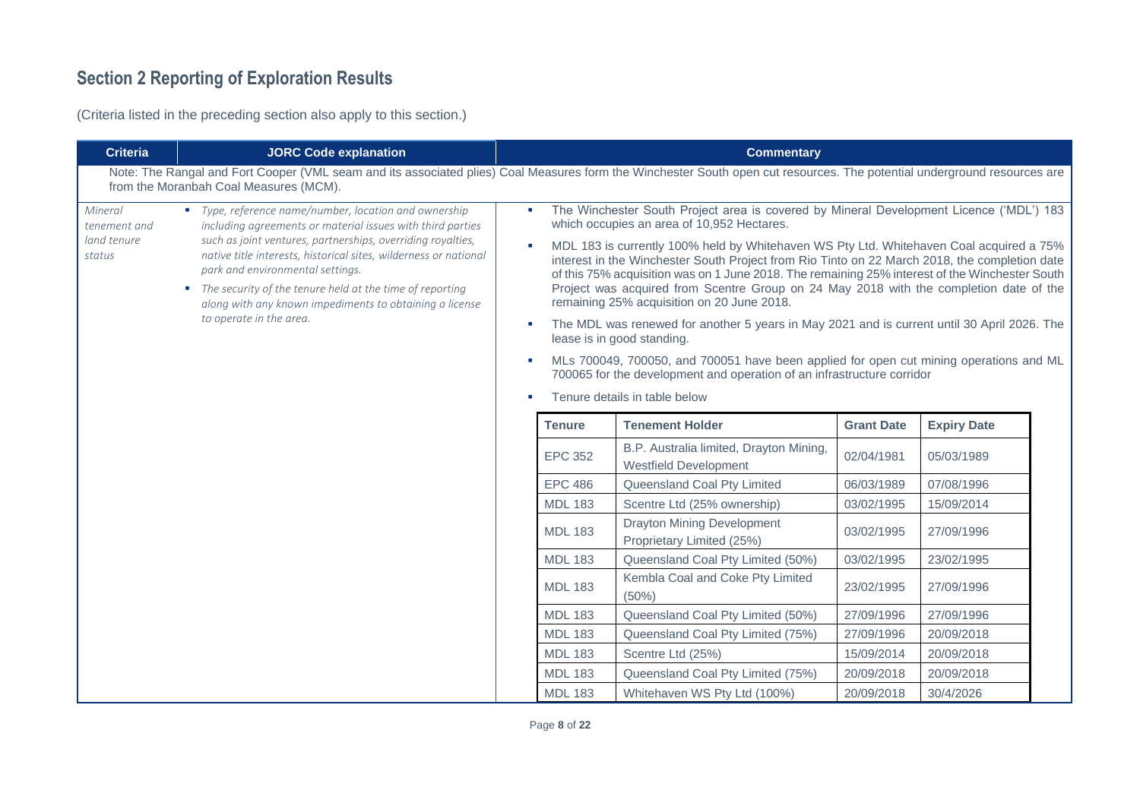## **Section 2 Reporting of Exploration Results**

(Criteria listed in the preceding section also apply to this section.)

| <b>Criteria</b>                                                                                                                                                                                                                                                                                                                                                                                                                                                                                    | <b>JORC Code explanation</b>                                                                                                                                                                                       | <b>Commentary</b> |                                                                                                                                                                                                                                                                                                                                                                                                                                                                                                                                                                                                                                                                                                                                                                                                                                                                                                               |                                                                         |                   |                    |  |
|----------------------------------------------------------------------------------------------------------------------------------------------------------------------------------------------------------------------------------------------------------------------------------------------------------------------------------------------------------------------------------------------------------------------------------------------------------------------------------------------------|--------------------------------------------------------------------------------------------------------------------------------------------------------------------------------------------------------------------|-------------------|---------------------------------------------------------------------------------------------------------------------------------------------------------------------------------------------------------------------------------------------------------------------------------------------------------------------------------------------------------------------------------------------------------------------------------------------------------------------------------------------------------------------------------------------------------------------------------------------------------------------------------------------------------------------------------------------------------------------------------------------------------------------------------------------------------------------------------------------------------------------------------------------------------------|-------------------------------------------------------------------------|-------------------|--------------------|--|
|                                                                                                                                                                                                                                                                                                                                                                                                                                                                                                    | Note: The Rangal and Fort Cooper (VML seam and its associated plies) Coal Measures form the Winchester South open cut resources. The potential underground resources are<br>from the Moranbah Coal Measures (MCM). |                   |                                                                                                                                                                                                                                                                                                                                                                                                                                                                                                                                                                                                                                                                                                                                                                                                                                                                                                               |                                                                         |                   |                    |  |
| • Type, reference name/number, location and ownership<br>Mineral<br>including agreements or material issues with third parties<br>tenement and<br>such as joint ventures, partnerships, overriding royalties,<br>land tenure<br>native title interests, historical sites, wilderness or national<br>status<br>park and environmental settings.<br>• The security of the tenure held at the time of reporting<br>along with any known impediments to obtaining a license<br>to operate in the area. | $\mathcal{L}_{\mathcal{A}}$                                                                                                                                                                                        |                   | The Winchester South Project area is covered by Mineral Development Licence ('MDL') 183<br>which occupies an area of 10,952 Hectares.<br>MDL 183 is currently 100% held by Whitehaven WS Pty Ltd. Whitehaven Coal acquired a 75%<br>interest in the Winchester South Project from Rio Tinto on 22 March 2018, the completion date<br>of this 75% acquisition was on 1 June 2018. The remaining 25% interest of the Winchester South<br>Project was acquired from Scentre Group on 24 May 2018 with the completion date of the<br>remaining 25% acquisition on 20 June 2018.<br>The MDL was renewed for another 5 years in May 2021 and is current until 30 April 2026. The<br>lease is in good standing.<br>MLs 700049, 700050, and 700051 have been applied for open cut mining operations and ML<br>700065 for the development and operation of an infrastructure corridor<br>Tenure details in table below |                                                                         |                   |                    |  |
|                                                                                                                                                                                                                                                                                                                                                                                                                                                                                                    |                                                                                                                                                                                                                    |                   | <b>Tenure</b>                                                                                                                                                                                                                                                                                                                                                                                                                                                                                                                                                                                                                                                                                                                                                                                                                                                                                                 | <b>Tenement Holder</b>                                                  | <b>Grant Date</b> | <b>Expiry Date</b> |  |
|                                                                                                                                                                                                                                                                                                                                                                                                                                                                                                    |                                                                                                                                                                                                                    |                   | <b>EPC 352</b>                                                                                                                                                                                                                                                                                                                                                                                                                                                                                                                                                                                                                                                                                                                                                                                                                                                                                                | B.P. Australia limited, Drayton Mining,<br><b>Westfield Development</b> | 02/04/1981        | 05/03/1989         |  |
|                                                                                                                                                                                                                                                                                                                                                                                                                                                                                                    |                                                                                                                                                                                                                    |                   | <b>EPC 486</b>                                                                                                                                                                                                                                                                                                                                                                                                                                                                                                                                                                                                                                                                                                                                                                                                                                                                                                | Queensland Coal Pty Limited                                             | 06/03/1989        | 07/08/1996         |  |
|                                                                                                                                                                                                                                                                                                                                                                                                                                                                                                    |                                                                                                                                                                                                                    |                   | <b>MDL 183</b>                                                                                                                                                                                                                                                                                                                                                                                                                                                                                                                                                                                                                                                                                                                                                                                                                                                                                                | Scentre Ltd (25% ownership)                                             | 03/02/1995        | 15/09/2014         |  |
|                                                                                                                                                                                                                                                                                                                                                                                                                                                                                                    |                                                                                                                                                                                                                    |                   | <b>MDL 183</b>                                                                                                                                                                                                                                                                                                                                                                                                                                                                                                                                                                                                                                                                                                                                                                                                                                                                                                | <b>Drayton Mining Development</b><br>Proprietary Limited (25%)          | 03/02/1995        | 27/09/1996         |  |
|                                                                                                                                                                                                                                                                                                                                                                                                                                                                                                    |                                                                                                                                                                                                                    |                   | <b>MDL 183</b>                                                                                                                                                                                                                                                                                                                                                                                                                                                                                                                                                                                                                                                                                                                                                                                                                                                                                                | Queensland Coal Pty Limited (50%)                                       | 03/02/1995        | 23/02/1995         |  |
|                                                                                                                                                                                                                                                                                                                                                                                                                                                                                                    |                                                                                                                                                                                                                    | <b>MDL 183</b>    | Kembla Coal and Coke Pty Limited<br>$(50\%)$                                                                                                                                                                                                                                                                                                                                                                                                                                                                                                                                                                                                                                                                                                                                                                                                                                                                  | 23/02/1995                                                              | 27/09/1996        |                    |  |
|                                                                                                                                                                                                                                                                                                                                                                                                                                                                                                    |                                                                                                                                                                                                                    |                   | <b>MDL 183</b>                                                                                                                                                                                                                                                                                                                                                                                                                                                                                                                                                                                                                                                                                                                                                                                                                                                                                                | Queensland Coal Pty Limited (50%)                                       | 27/09/1996        | 27/09/1996         |  |
|                                                                                                                                                                                                                                                                                                                                                                                                                                                                                                    |                                                                                                                                                                                                                    |                   | <b>MDL 183</b>                                                                                                                                                                                                                                                                                                                                                                                                                                                                                                                                                                                                                                                                                                                                                                                                                                                                                                | Queensland Coal Pty Limited (75%)                                       | 27/09/1996        | 20/09/2018         |  |
|                                                                                                                                                                                                                                                                                                                                                                                                                                                                                                    |                                                                                                                                                                                                                    |                   | <b>MDL 183</b>                                                                                                                                                                                                                                                                                                                                                                                                                                                                                                                                                                                                                                                                                                                                                                                                                                                                                                | Scentre Ltd (25%)                                                       | 15/09/2014        | 20/09/2018         |  |
|                                                                                                                                                                                                                                                                                                                                                                                                                                                                                                    |                                                                                                                                                                                                                    |                   | <b>MDL 183</b>                                                                                                                                                                                                                                                                                                                                                                                                                                                                                                                                                                                                                                                                                                                                                                                                                                                                                                | Queensland Coal Pty Limited (75%)                                       | 20/09/2018        | 20/09/2018         |  |
|                                                                                                                                                                                                                                                                                                                                                                                                                                                                                                    |                                                                                                                                                                                                                    |                   | <b>MDL 183</b>                                                                                                                                                                                                                                                                                                                                                                                                                                                                                                                                                                                                                                                                                                                                                                                                                                                                                                | Whitehaven WS Pty Ltd (100%)                                            | 20/09/2018        | 30/4/2026          |  |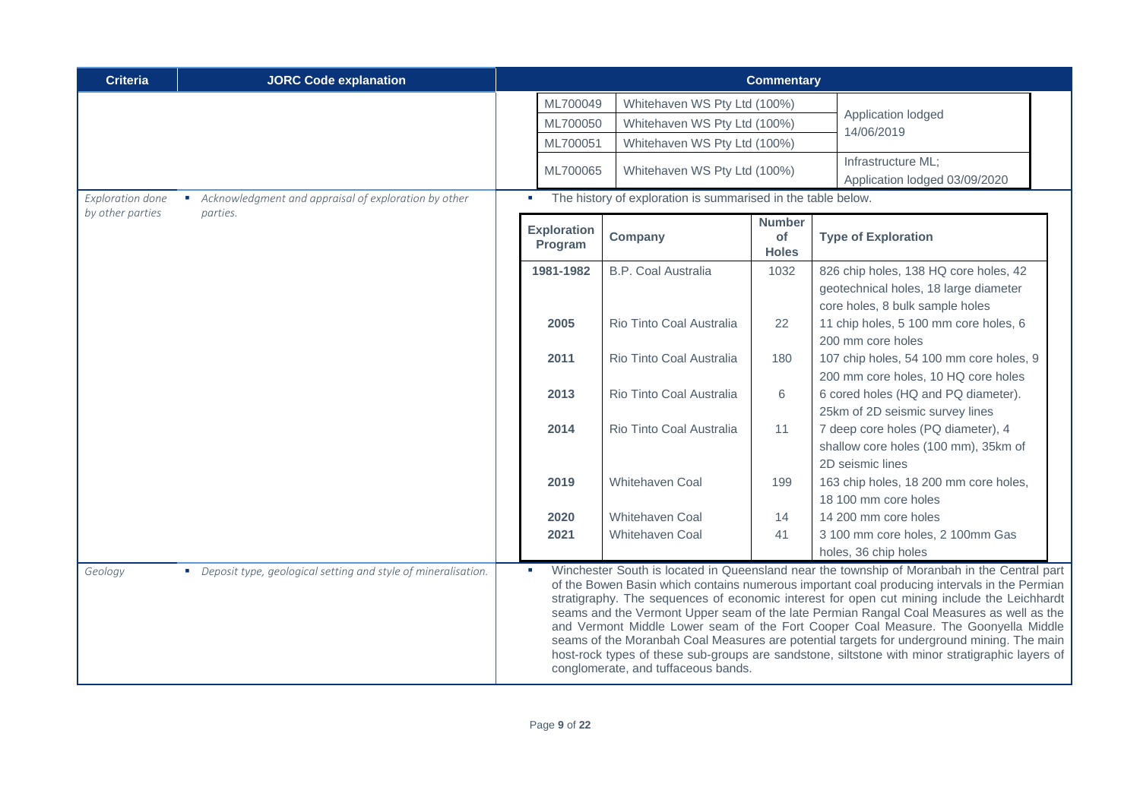| <b>Criteria</b>         | <b>JORC Code explanation</b>                                    |                               |                                                              | <b>Commentary</b>                   |                                                                                                                                                                                                                                                                                                                                                                                                                                                                                                                                                                                                                                                                                |  |
|-------------------------|-----------------------------------------------------------------|-------------------------------|--------------------------------------------------------------|-------------------------------------|--------------------------------------------------------------------------------------------------------------------------------------------------------------------------------------------------------------------------------------------------------------------------------------------------------------------------------------------------------------------------------------------------------------------------------------------------------------------------------------------------------------------------------------------------------------------------------------------------------------------------------------------------------------------------------|--|
|                         |                                                                 | ML700049                      | Whitehaven WS Pty Ltd (100%)                                 |                                     | Application lodged                                                                                                                                                                                                                                                                                                                                                                                                                                                                                                                                                                                                                                                             |  |
|                         |                                                                 | ML700050                      | Whitehaven WS Pty Ltd (100%)                                 |                                     | 14/06/2019                                                                                                                                                                                                                                                                                                                                                                                                                                                                                                                                                                                                                                                                     |  |
|                         |                                                                 | ML700051                      | Whitehaven WS Pty Ltd (100%)                                 |                                     |                                                                                                                                                                                                                                                                                                                                                                                                                                                                                                                                                                                                                                                                                |  |
|                         |                                                                 | ML700065                      | Whitehaven WS Pty Ltd (100%)                                 |                                     | Infrastructure ML;<br>Application lodged 03/09/2020                                                                                                                                                                                                                                                                                                                                                                                                                                                                                                                                                                                                                            |  |
| <b>Exploration done</b> | Acknowledgment and appraisal of exploration by other            |                               | The history of exploration is summarised in the table below. |                                     |                                                                                                                                                                                                                                                                                                                                                                                                                                                                                                                                                                                                                                                                                |  |
| by other parties        | parties.                                                        | <b>Exploration</b><br>Program | <b>Company</b>                                               | <b>Number</b><br>of<br><b>Holes</b> | <b>Type of Exploration</b>                                                                                                                                                                                                                                                                                                                                                                                                                                                                                                                                                                                                                                                     |  |
|                         |                                                                 | 1981-1982                     | <b>B.P. Coal Australia</b>                                   | 1032                                | 826 chip holes, 138 HQ core holes, 42<br>geotechnical holes, 18 large diameter<br>core holes, 8 bulk sample holes                                                                                                                                                                                                                                                                                                                                                                                                                                                                                                                                                              |  |
|                         |                                                                 | 2005                          | Rio Tinto Coal Australia                                     | 22                                  | 11 chip holes, 5 100 mm core holes, 6<br>200 mm core holes                                                                                                                                                                                                                                                                                                                                                                                                                                                                                                                                                                                                                     |  |
|                         |                                                                 | 2011                          | Rio Tinto Coal Australia                                     | 180                                 | 107 chip holes, 54 100 mm core holes, 9<br>200 mm core holes, 10 HQ core holes                                                                                                                                                                                                                                                                                                                                                                                                                                                                                                                                                                                                 |  |
|                         |                                                                 | 2013                          | Rio Tinto Coal Australia                                     | 6                                   | 6 cored holes (HQ and PQ diameter).<br>25km of 2D seismic survey lines                                                                                                                                                                                                                                                                                                                                                                                                                                                                                                                                                                                                         |  |
|                         |                                                                 | 2014                          | Rio Tinto Coal Australia                                     | 11                                  | 7 deep core holes (PQ diameter), 4<br>shallow core holes (100 mm), 35km of<br>2D seismic lines                                                                                                                                                                                                                                                                                                                                                                                                                                                                                                                                                                                 |  |
|                         |                                                                 | 2019                          | Whitehaven Coal                                              | 199                                 | 163 chip holes, 18 200 mm core holes,<br>18 100 mm core holes                                                                                                                                                                                                                                                                                                                                                                                                                                                                                                                                                                                                                  |  |
|                         |                                                                 | 2020                          | Whitehaven Coal                                              | 14                                  | 14 200 mm core holes                                                                                                                                                                                                                                                                                                                                                                                                                                                                                                                                                                                                                                                           |  |
|                         |                                                                 | 2021                          | Whitehaven Coal                                              | 41                                  | 3 100 mm core holes, 2 100mm Gas<br>holes, 36 chip holes                                                                                                                                                                                                                                                                                                                                                                                                                                                                                                                                                                                                                       |  |
| Geology                 | • Deposit type, geological setting and style of mineralisation. |                               | conglomerate, and tuffaceous bands.                          |                                     | Winchester South is located in Queensland near the township of Moranbah in the Central part<br>of the Bowen Basin which contains numerous important coal producing intervals in the Permian<br>stratigraphy. The sequences of economic interest for open cut mining include the Leichhardt<br>seams and the Vermont Upper seam of the late Permian Rangal Coal Measures as well as the<br>and Vermont Middle Lower seam of the Fort Cooper Coal Measure. The Goonyella Middle<br>seams of the Moranbah Coal Measures are potential targets for underground mining. The main<br>host-rock types of these sub-groups are sandstone, siltstone with minor stratigraphic layers of |  |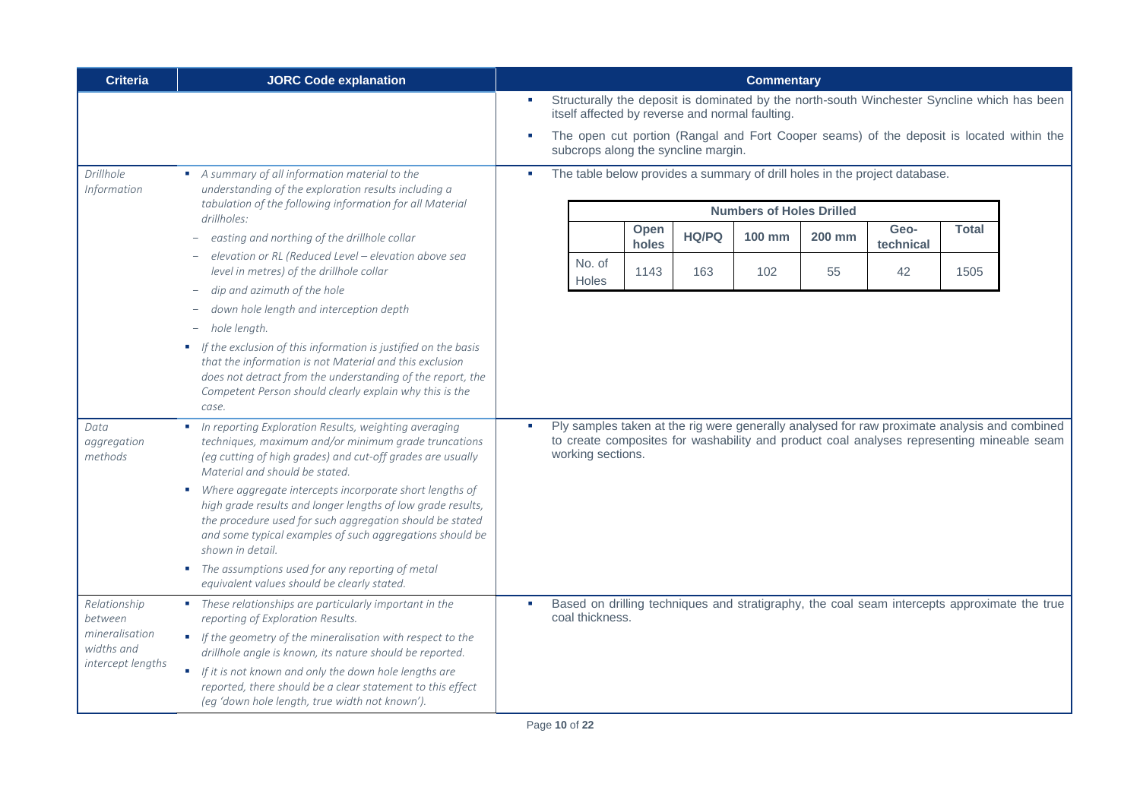| <b>Criteria</b>                 | <b>JORC Code explanation</b>                                                                                                                                                                                                                                         | <b>Commentary</b>                                                                                                                                                                                              |
|---------------------------------|----------------------------------------------------------------------------------------------------------------------------------------------------------------------------------------------------------------------------------------------------------------------|----------------------------------------------------------------------------------------------------------------------------------------------------------------------------------------------------------------|
|                                 |                                                                                                                                                                                                                                                                      | Structurally the deposit is dominated by the north-south Winchester Syncline which has been<br>itself affected by reverse and normal faulting.                                                                 |
|                                 |                                                                                                                                                                                                                                                                      | The open cut portion (Rangal and Fort Cooper seams) of the deposit is located within the<br>subcrops along the syncline margin.                                                                                |
| <b>Drillhole</b><br>Information | A summary of all information material to the<br>understanding of the exploration results including a<br>tabulation of the following information for all Material                                                                                                     | The table below provides a summary of drill holes in the project database.<br>m,                                                                                                                               |
|                                 | drillholes:                                                                                                                                                                                                                                                          | <b>Numbers of Holes Drilled</b>                                                                                                                                                                                |
|                                 | easting and northing of the drillhole collar                                                                                                                                                                                                                         | <b>Total</b><br>Geo-<br>Open<br><b>HQ/PQ</b><br><b>100 mm</b><br><b>200 mm</b><br>holes<br>technical                                                                                                           |
|                                 | elevation or RL (Reduced Level - elevation above sea<br>level in metres) of the drillhole collar                                                                                                                                                                     | No. of<br>1143<br>42<br>163<br>102<br>55<br>1505                                                                                                                                                               |
|                                 | dip and azimuth of the hole                                                                                                                                                                                                                                          | Holes                                                                                                                                                                                                          |
|                                 | down hole length and interception depth                                                                                                                                                                                                                              |                                                                                                                                                                                                                |
|                                 | hole length.                                                                                                                                                                                                                                                         |                                                                                                                                                                                                                |
|                                 | If the exclusion of this information is justified on the basis<br>that the information is not Material and this exclusion<br>does not detract from the understanding of the report, the<br>Competent Person should clearly explain why this is the<br>case.          |                                                                                                                                                                                                                |
| Data<br>aggregation<br>methods  | In reporting Exploration Results, weighting averaging<br>techniques, maximum and/or minimum grade truncations<br>(eg cutting of high grades) and cut-off grades are usually<br>Material and should be stated.                                                        | Ply samples taken at the rig were generally analysed for raw proximate analysis and combined<br>to create composites for washability and product coal analyses representing mineable seam<br>working sections. |
|                                 | • Where aggregate intercepts incorporate short lengths of<br>high grade results and longer lengths of low grade results,<br>the procedure used for such aggregation should be stated<br>and some typical examples of such aggregations should be<br>shown in detail. |                                                                                                                                                                                                                |
|                                 | • The assumptions used for any reporting of metal<br>equivalent values should be clearly stated.                                                                                                                                                                     |                                                                                                                                                                                                                |
| Relationship<br>between         | • These relationships are particularly important in the<br>reporting of Exploration Results.                                                                                                                                                                         | Based on drilling techniques and stratigraphy, the coal seam intercepts approximate the true<br>٠<br>coal thickness.                                                                                           |
| mineralisation<br>widths and    | If the geometry of the mineralisation with respect to the<br>drillhole angle is known, its nature should be reported.                                                                                                                                                |                                                                                                                                                                                                                |
| intercept lengths               | If it is not known and only the down hole lengths are<br>reported, there should be a clear statement to this effect<br>(eg 'down hole length, true width not known').                                                                                                |                                                                                                                                                                                                                |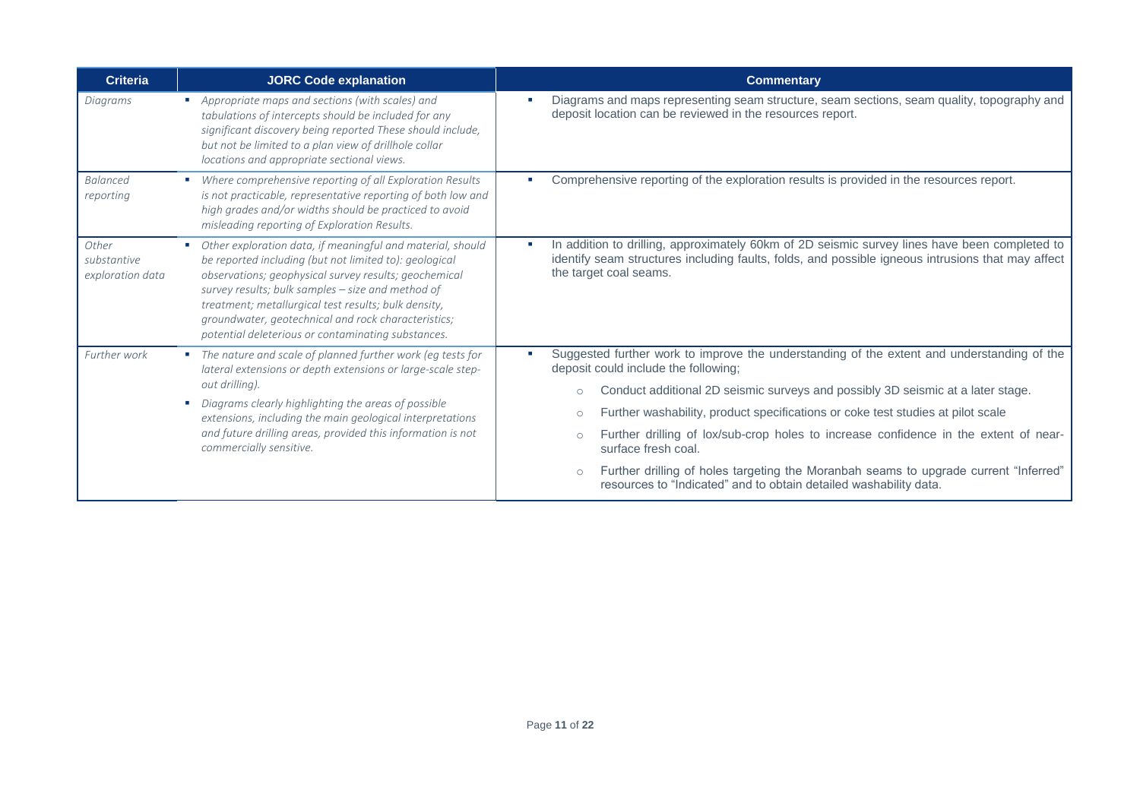| <b>Criteria</b>                          | <b>JORC Code explanation</b>                                                                                                                                                                                                                                                                                                                                                                                  | <b>Commentary</b>                                                                                                                                                                                                                                                                                                                                                                                                                                                                                                                                                                                                                   |
|------------------------------------------|---------------------------------------------------------------------------------------------------------------------------------------------------------------------------------------------------------------------------------------------------------------------------------------------------------------------------------------------------------------------------------------------------------------|-------------------------------------------------------------------------------------------------------------------------------------------------------------------------------------------------------------------------------------------------------------------------------------------------------------------------------------------------------------------------------------------------------------------------------------------------------------------------------------------------------------------------------------------------------------------------------------------------------------------------------------|
| Diagrams                                 | Appropriate maps and sections (with scales) and<br>tabulations of intercepts should be included for any<br>significant discovery being reported These should include,<br>but not be limited to a plan view of drillhole collar<br>locations and appropriate sectional views.                                                                                                                                  | Diagrams and maps representing seam structure, seam sections, seam quality, topography and<br>deposit location can be reviewed in the resources report.                                                                                                                                                                                                                                                                                                                                                                                                                                                                             |
| <b>Balanced</b><br>reporting             | • Where comprehensive reporting of all Exploration Results<br>is not practicable, representative reporting of both low and<br>high grades and/or widths should be practiced to avoid<br>misleading reporting of Exploration Results.                                                                                                                                                                          | Comprehensive reporting of the exploration results is provided in the resources report.                                                                                                                                                                                                                                                                                                                                                                                                                                                                                                                                             |
| Other<br>substantive<br>exploration data | Other exploration data, if meaningful and material, should<br>m.<br>be reported including (but not limited to): geological<br>observations; geophysical survey results; geochemical<br>survey results; bulk samples - size and method of<br>treatment; metallurgical test results; bulk density,<br>groundwater, geotechnical and rock characteristics;<br>potential deleterious or contaminating substances. | In addition to drilling, approximately 60km of 2D seismic survey lines have been completed to<br><b>CO</b><br>identify seam structures including faults, folds, and possible igneous intrusions that may affect<br>the target coal seams.                                                                                                                                                                                                                                                                                                                                                                                           |
| Further work                             | • The nature and scale of planned further work (eg tests for<br>lateral extensions or depth extensions or large-scale step-<br>out drilling).<br>Diagrams clearly highlighting the areas of possible<br>m.<br>extensions, including the main geological interpretations<br>and future drilling areas, provided this information is not<br>commercially sensitive.                                             | Suggested further work to improve the understanding of the extent and understanding of the<br>deposit could include the following;<br>Conduct additional 2D seismic surveys and possibly 3D seismic at a later stage.<br>$\circ$<br>Further washability, product specifications or coke test studies at pilot scale<br>$\bigcirc$<br>Further drilling of lox/sub-crop holes to increase confidence in the extent of near-<br>$\circ$<br>surface fresh coal.<br>Further drilling of holes targeting the Moranbah seams to upgrade current "Inferred"<br>$\circ$<br>resources to "Indicated" and to obtain detailed washability data. |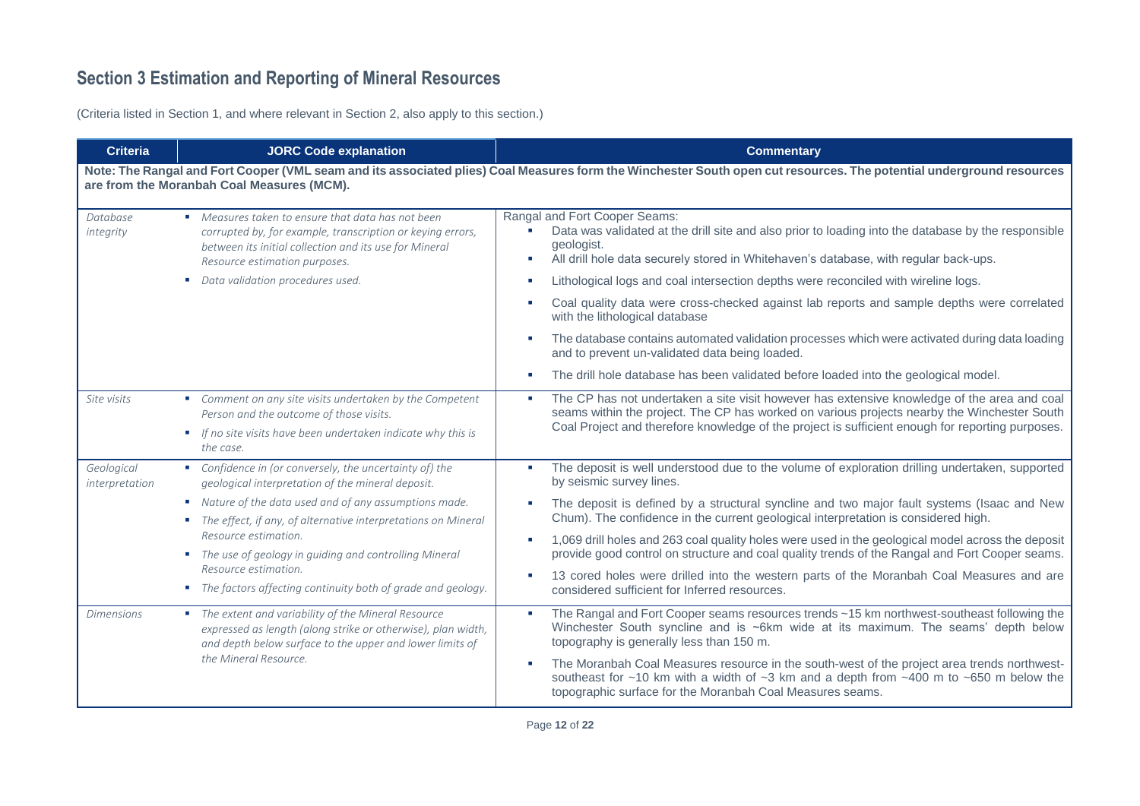## **Section 3 Estimation and Reporting of Mineral Resources**

(Criteria listed in Section 1, and where relevant in Section 2, also apply to this section.)

| <b>Criteria</b>              | <b>JORC Code explanation</b>                                                                                                                                                                                                                                                                                                                                                                                          | <b>Commentary</b>                                                                                                                                                                                                                                                                                                                                                                                                                                                                                                                                                                                                                                                       |
|------------------------------|-----------------------------------------------------------------------------------------------------------------------------------------------------------------------------------------------------------------------------------------------------------------------------------------------------------------------------------------------------------------------------------------------------------------------|-------------------------------------------------------------------------------------------------------------------------------------------------------------------------------------------------------------------------------------------------------------------------------------------------------------------------------------------------------------------------------------------------------------------------------------------------------------------------------------------------------------------------------------------------------------------------------------------------------------------------------------------------------------------------|
|                              | are from the Moranbah Coal Measures (MCM).                                                                                                                                                                                                                                                                                                                                                                            | Note: The Rangal and Fort Cooper (VML seam and its associated plies) Coal Measures form the Winchester South open cut resources. The potential underground resources                                                                                                                                                                                                                                                                                                                                                                                                                                                                                                    |
| Database<br>integrity        | • Measures taken to ensure that data has not been<br>corrupted by, for example, transcription or keying errors,<br>between its initial collection and its use for Mineral<br>Resource estimation purposes.<br>Data validation procedures used.<br><b>COL</b>                                                                                                                                                          | Rangal and Fort Cooper Seams:<br>Data was validated at the drill site and also prior to loading into the database by the responsible<br>m.<br>geologist.<br>All drill hole data securely stored in Whitehaven's database, with regular back-ups.<br>Lithological logs and coal intersection depths were reconciled with wireline logs.<br>Coal quality data were cross-checked against lab reports and sample depths were correlated<br>with the lithological database<br>The database contains automated validation processes which were activated during data loading<br>and to prevent un-validated data being loaded.                                               |
|                              |                                                                                                                                                                                                                                                                                                                                                                                                                       | The drill hole database has been validated before loaded into the geological model.                                                                                                                                                                                                                                                                                                                                                                                                                                                                                                                                                                                     |
| Site visits                  | • Comment on any site visits undertaken by the Competent<br>Person and the outcome of those visits.<br>If no site visits have been undertaken indicate why this is<br>the case.                                                                                                                                                                                                                                       | The CP has not undertaken a site visit however has extensive knowledge of the area and coal<br>a.<br>seams within the project. The CP has worked on various projects nearby the Winchester South<br>Coal Project and therefore knowledge of the project is sufficient enough for reporting purposes.                                                                                                                                                                                                                                                                                                                                                                    |
| Geological<br>interpretation | • Confidence in (or conversely, the uncertainty of) the<br>geological interpretation of the mineral deposit.<br>• Nature of the data used and of any assumptions made.<br>• The effect, if any, of alternative interpretations on Mineral<br>Resource estimation.<br>• The use of geology in guiding and controlling Mineral<br>Resource estimation.<br>• The factors affecting continuity both of grade and geology. | The deposit is well understood due to the volume of exploration drilling undertaken, supported<br>٠<br>by seismic survey lines.<br>The deposit is defined by a structural syncline and two major fault systems (Isaac and New<br>Chum). The confidence in the current geological interpretation is considered high.<br>1,069 drill holes and 263 coal quality holes were used in the geological model across the deposit<br>provide good control on structure and coal quality trends of the Rangal and Fort Cooper seams.<br>13 cored holes were drilled into the western parts of the Moranbah Coal Measures and are<br>considered sufficient for Inferred resources. |
| <b>Dimensions</b>            | • The extent and variability of the Mineral Resource<br>expressed as length (along strike or otherwise), plan width,<br>and depth below surface to the upper and lower limits of<br>the Mineral Resource.                                                                                                                                                                                                             | The Rangal and Fort Cooper seams resources trends ~15 km northwest-southeast following the<br>Winchester South syncline and is ~6km wide at its maximum. The seams' depth below<br>topography is generally less than 150 m.<br>The Moranbah Coal Measures resource in the south-west of the project area trends northwest-<br>southeast for $\sim$ 10 km with a width of $\sim$ 3 km and a depth from $\sim$ 400 m to $\sim$ 650 m below the<br>topographic surface for the Moranbah Coal Measures seams.                                                                                                                                                               |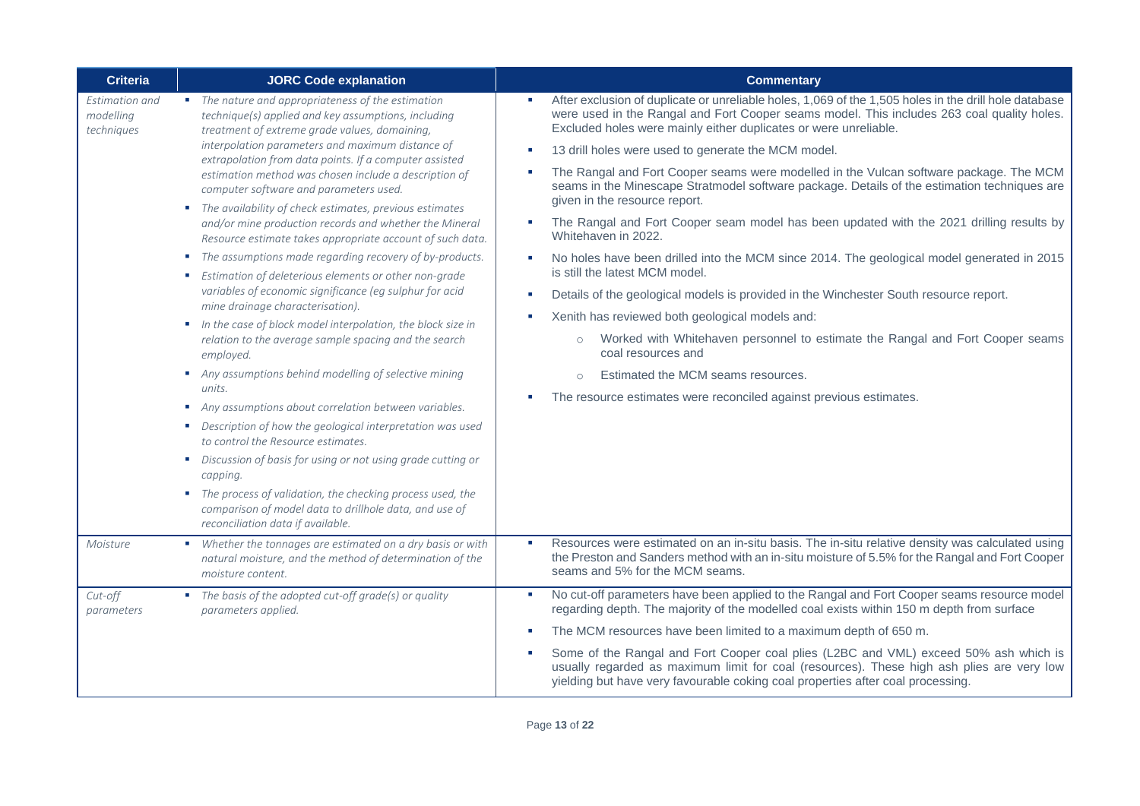| <b>Criteria</b>                                  | <b>JORC Code explanation</b>                                                                                                                                                                                                                                                                                                                                                                                                                                                                                                                                                                                                                                                                                                                                                                                                                                                                                                                                                                                                                                                                                                                                                                                                          | <b>Commentary</b>                                                                                                                                                                                                                                                                                                                                                                                                                                                                                                                                                                                                                                                                                                                                                                                                                                                                                                                                                                                                                                                                                                                                                                                 |
|--------------------------------------------------|---------------------------------------------------------------------------------------------------------------------------------------------------------------------------------------------------------------------------------------------------------------------------------------------------------------------------------------------------------------------------------------------------------------------------------------------------------------------------------------------------------------------------------------------------------------------------------------------------------------------------------------------------------------------------------------------------------------------------------------------------------------------------------------------------------------------------------------------------------------------------------------------------------------------------------------------------------------------------------------------------------------------------------------------------------------------------------------------------------------------------------------------------------------------------------------------------------------------------------------|---------------------------------------------------------------------------------------------------------------------------------------------------------------------------------------------------------------------------------------------------------------------------------------------------------------------------------------------------------------------------------------------------------------------------------------------------------------------------------------------------------------------------------------------------------------------------------------------------------------------------------------------------------------------------------------------------------------------------------------------------------------------------------------------------------------------------------------------------------------------------------------------------------------------------------------------------------------------------------------------------------------------------------------------------------------------------------------------------------------------------------------------------------------------------------------------------|
| <b>Estimation and</b><br>modelling<br>techniques | • The nature and appropriateness of the estimation<br>technique(s) applied and key assumptions, including<br>treatment of extreme grade values, domaining,<br>interpolation parameters and maximum distance of<br>extrapolation from data points. If a computer assisted<br>estimation method was chosen include a description of<br>computer software and parameters used.<br>• The availability of check estimates, previous estimates<br>and/or mine production records and whether the Mineral<br>Resource estimate takes appropriate account of such data.<br>• The assumptions made regarding recovery of by-products.<br>Estimation of deleterious elements or other non-grade<br>variables of economic significance (eg sulphur for acid<br>mine drainage characterisation).<br>In the case of block model interpolation, the block size in<br>relation to the average sample spacing and the search<br>employed.<br>Any assumptions behind modelling of selective mining<br>units.<br>Any assumptions about correlation between variables.<br>• Description of how the geological interpretation was used<br>to control the Resource estimates.<br>• Discussion of basis for using or not using grade cutting or<br>capping. | After exclusion of duplicate or unreliable holes, 1,069 of the 1,505 holes in the drill hole database<br>were used in the Rangal and Fort Cooper seams model. This includes 263 coal quality holes.<br>Excluded holes were mainly either duplicates or were unreliable.<br>13 drill holes were used to generate the MCM model.<br>The Rangal and Fort Cooper seams were modelled in the Vulcan software package. The MCM<br>seams in the Minescape Stratmodel software package. Details of the estimation techniques are<br>given in the resource report.<br>The Rangal and Fort Cooper seam model has been updated with the 2021 drilling results by<br>Whitehaven in 2022.<br>No holes have been drilled into the MCM since 2014. The geological model generated in 2015<br>is still the latest MCM model.<br>Details of the geological models is provided in the Winchester South resource report.<br>Xenith has reviewed both geological models and:<br>Worked with Whitehaven personnel to estimate the Rangal and Fort Cooper seams<br>$\circ$<br>coal resources and<br>Estimated the MCM seams resources.<br>$\circ$<br>The resource estimates were reconciled against previous estimates. |
|                                                  | • The process of validation, the checking process used, the<br>comparison of model data to drillhole data, and use of<br>reconciliation data if available.                                                                                                                                                                                                                                                                                                                                                                                                                                                                                                                                                                                                                                                                                                                                                                                                                                                                                                                                                                                                                                                                            |                                                                                                                                                                                                                                                                                                                                                                                                                                                                                                                                                                                                                                                                                                                                                                                                                                                                                                                                                                                                                                                                                                                                                                                                   |
| Moisture                                         | • Whether the tonnages are estimated on a dry basis or with<br>natural moisture, and the method of determination of the<br>moisture content.                                                                                                                                                                                                                                                                                                                                                                                                                                                                                                                                                                                                                                                                                                                                                                                                                                                                                                                                                                                                                                                                                          | Resources were estimated on an in-situ basis. The in-situ relative density was calculated using<br>the Preston and Sanders method with an in-situ moisture of 5.5% for the Rangal and Fort Cooper<br>seams and 5% for the MCM seams.                                                                                                                                                                                                                                                                                                                                                                                                                                                                                                                                                                                                                                                                                                                                                                                                                                                                                                                                                              |
| Cut-off<br>parameters                            | • The basis of the adopted cut-off grade(s) or quality<br>parameters applied.                                                                                                                                                                                                                                                                                                                                                                                                                                                                                                                                                                                                                                                                                                                                                                                                                                                                                                                                                                                                                                                                                                                                                         | No cut-off parameters have been applied to the Rangal and Fort Cooper seams resource model<br>regarding depth. The majority of the modelled coal exists within 150 m depth from surface<br>The MCM resources have been limited to a maximum depth of 650 m.<br>Some of the Rangal and Fort Cooper coal plies (L2BC and VML) exceed 50% ash which is<br>usually regarded as maximum limit for coal (resources). These high ash plies are very low<br>yielding but have very favourable coking coal properties after coal processing.                                                                                                                                                                                                                                                                                                                                                                                                                                                                                                                                                                                                                                                               |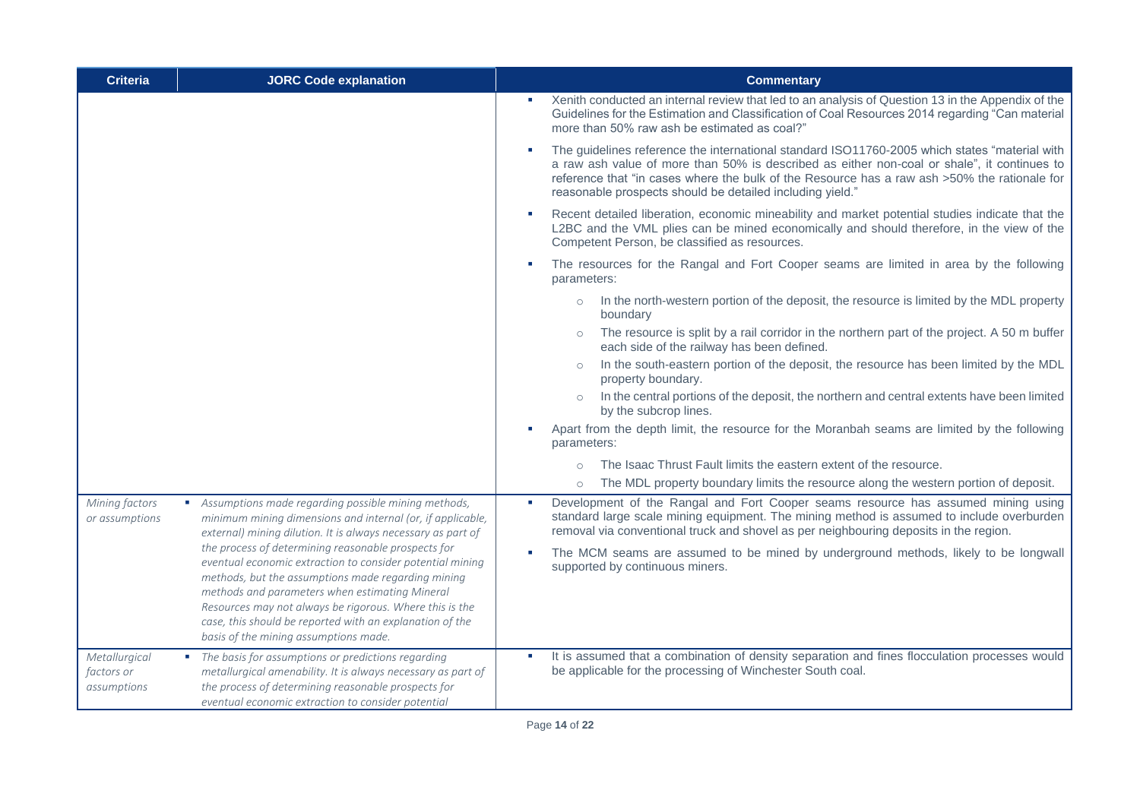| <b>Criteria</b>                                                                                                                                                                                                                                                                                                                                                                          | <b>JORC Code explanation</b>                                                                                                                                                                                                      | <b>Commentary</b>                                                                                                                                                                                                                                                                                                                                         |
|------------------------------------------------------------------------------------------------------------------------------------------------------------------------------------------------------------------------------------------------------------------------------------------------------------------------------------------------------------------------------------------|-----------------------------------------------------------------------------------------------------------------------------------------------------------------------------------------------------------------------------------|-----------------------------------------------------------------------------------------------------------------------------------------------------------------------------------------------------------------------------------------------------------------------------------------------------------------------------------------------------------|
|                                                                                                                                                                                                                                                                                                                                                                                          |                                                                                                                                                                                                                                   | Xenith conducted an internal review that led to an analysis of Question 13 in the Appendix of the<br>Guidelines for the Estimation and Classification of Coal Resources 2014 regarding "Can material<br>more than 50% raw ash be estimated as coal?"                                                                                                      |
|                                                                                                                                                                                                                                                                                                                                                                                          |                                                                                                                                                                                                                                   | The guidelines reference the international standard ISO11760-2005 which states "material with<br>a raw ash value of more than 50% is described as either non-coal or shale", it continues to<br>reference that "in cases where the bulk of the Resource has a raw ash >50% the rationale for<br>reasonable prospects should be detailed including yield." |
|                                                                                                                                                                                                                                                                                                                                                                                          |                                                                                                                                                                                                                                   | Recent detailed liberation, economic mineability and market potential studies indicate that the<br>L2BC and the VML plies can be mined economically and should therefore, in the view of the<br>Competent Person, be classified as resources.                                                                                                             |
|                                                                                                                                                                                                                                                                                                                                                                                          |                                                                                                                                                                                                                                   | The resources for the Rangal and Fort Cooper seams are limited in area by the following<br>parameters:                                                                                                                                                                                                                                                    |
|                                                                                                                                                                                                                                                                                                                                                                                          |                                                                                                                                                                                                                                   | In the north-western portion of the deposit, the resource is limited by the MDL property<br>$\circ$<br>boundary                                                                                                                                                                                                                                           |
|                                                                                                                                                                                                                                                                                                                                                                                          |                                                                                                                                                                                                                                   | The resource is split by a rail corridor in the northern part of the project. A 50 m buffer<br>$\circ$<br>each side of the railway has been defined.                                                                                                                                                                                                      |
|                                                                                                                                                                                                                                                                                                                                                                                          |                                                                                                                                                                                                                                   | In the south-eastern portion of the deposit, the resource has been limited by the MDL<br>$\circ$<br>property boundary.                                                                                                                                                                                                                                    |
|                                                                                                                                                                                                                                                                                                                                                                                          |                                                                                                                                                                                                                                   | In the central portions of the deposit, the northern and central extents have been limited<br>$\circ$<br>by the subcrop lines.                                                                                                                                                                                                                            |
|                                                                                                                                                                                                                                                                                                                                                                                          |                                                                                                                                                                                                                                   | Apart from the depth limit, the resource for the Moranbah seams are limited by the following<br>parameters:                                                                                                                                                                                                                                               |
|                                                                                                                                                                                                                                                                                                                                                                                          |                                                                                                                                                                                                                                   | The Isaac Thrust Fault limits the eastern extent of the resource.<br>$\circ$                                                                                                                                                                                                                                                                              |
|                                                                                                                                                                                                                                                                                                                                                                                          |                                                                                                                                                                                                                                   | The MDL property boundary limits the resource along the western portion of deposit.<br>$\circ$                                                                                                                                                                                                                                                            |
| Mining factors<br>or assumptions                                                                                                                                                                                                                                                                                                                                                         | Assumptions made regarding possible mining methods,<br>minimum mining dimensions and internal (or, if applicable,<br>external) mining dilution. It is always necessary as part of                                                 | Development of the Rangal and Fort Cooper seams resource has assumed mining using<br>standard large scale mining equipment. The mining method is assumed to include overburden<br>removal via conventional truck and shovel as per neighbouring deposits in the region.                                                                                   |
| the process of determining reasonable prospects for<br>eventual economic extraction to consider potential mining<br>methods, but the assumptions made regarding mining<br>methods and parameters when estimating Mineral<br>Resources may not always be rigorous. Where this is the<br>case, this should be reported with an explanation of the<br>basis of the mining assumptions made. | The MCM seams are assumed to be mined by underground methods, likely to be longwall<br>supported by continuous miners.                                                                                                            |                                                                                                                                                                                                                                                                                                                                                           |
| Metallurgical<br>factors or<br>assumptions                                                                                                                                                                                                                                                                                                                                               | • The basis for assumptions or predictions regarding<br>metallurgical amenability. It is always necessary as part of<br>the process of determining reasonable prospects for<br>eventual economic extraction to consider potential | It is assumed that a combination of density separation and fines flocculation processes would<br>be applicable for the processing of Winchester South coal.                                                                                                                                                                                               |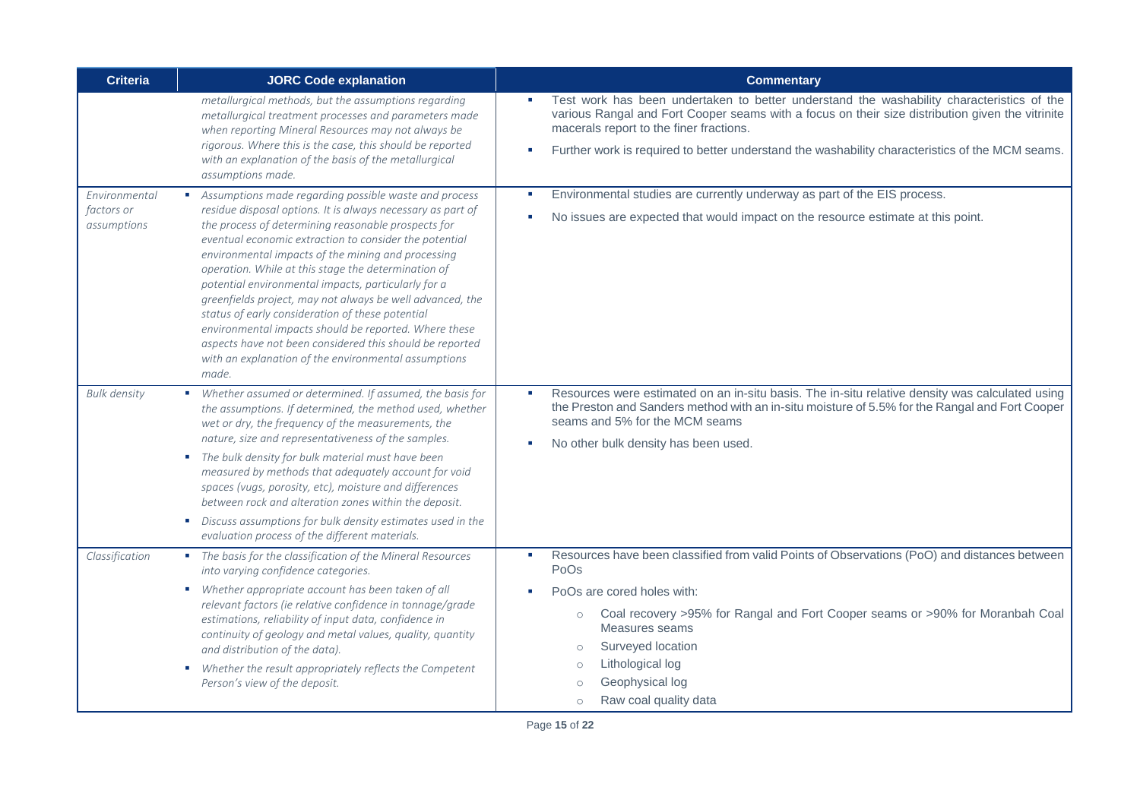| <b>Criteria</b>                            | <b>JORC Code explanation</b>                                                                                                                                                                                                                                                                                                                                                                                                                                                                                                                                                                                                                                                                                     | <b>Commentary</b>                                                                                                                                                                                                                                                                                                                                                                       |
|--------------------------------------------|------------------------------------------------------------------------------------------------------------------------------------------------------------------------------------------------------------------------------------------------------------------------------------------------------------------------------------------------------------------------------------------------------------------------------------------------------------------------------------------------------------------------------------------------------------------------------------------------------------------------------------------------------------------------------------------------------------------|-----------------------------------------------------------------------------------------------------------------------------------------------------------------------------------------------------------------------------------------------------------------------------------------------------------------------------------------------------------------------------------------|
|                                            | metallurgical methods, but the assumptions regarding<br>metallurgical treatment processes and parameters made<br>when reporting Mineral Resources may not always be<br>rigorous. Where this is the case, this should be reported<br>with an explanation of the basis of the metallurgical<br>assumptions made.                                                                                                                                                                                                                                                                                                                                                                                                   | Test work has been undertaken to better understand the washability characteristics of the<br>various Rangal and Fort Cooper seams with a focus on their size distribution given the vitrinite<br>macerals report to the finer fractions.<br>Further work is required to better understand the washability characteristics of the MCM seams.                                             |
| Environmental<br>factors or<br>assumptions | Assumptions made regarding possible waste and process<br>residue disposal options. It is always necessary as part of<br>the process of determining reasonable prospects for<br>eventual economic extraction to consider the potential<br>environmental impacts of the mining and processing<br>operation. While at this stage the determination of<br>potential environmental impacts, particularly for a<br>greenfields project, may not always be well advanced, the<br>status of early consideration of these potential<br>environmental impacts should be reported. Where these<br>aspects have not been considered this should be reported<br>with an explanation of the environmental assumptions<br>made. | Environmental studies are currently underway as part of the EIS process.<br>No issues are expected that would impact on the resource estimate at this point.                                                                                                                                                                                                                            |
| <b>Bulk density</b>                        | • Whether assumed or determined. If assumed, the basis for<br>the assumptions. If determined, the method used, whether<br>wet or dry, the frequency of the measurements, the<br>nature, size and representativeness of the samples.<br>• The bulk density for bulk material must have been<br>measured by methods that adequately account for void<br>spaces (vugs, porosity, etc), moisture and differences<br>between rock and alteration zones within the deposit.<br>Discuss assumptions for bulk density estimates used in the<br><b>B</b><br>evaluation process of the different materials.                                                                                                                | Resources were estimated on an in-situ basis. The in-situ relative density was calculated using<br>×<br>the Preston and Sanders method with an in-situ moisture of 5.5% for the Rangal and Fort Cooper<br>seams and 5% for the MCM seams<br>No other bulk density has been used.                                                                                                        |
| Classification                             | • The basis for the classification of the Mineral Resources<br>into varying confidence categories.<br>• Whether appropriate account has been taken of all<br>relevant factors (ie relative confidence in tonnage/grade<br>estimations, reliability of input data, confidence in<br>continuity of geology and metal values, quality, quantity<br>and distribution of the data).<br>• Whether the result appropriately reflects the Competent<br>Person's view of the deposit.                                                                                                                                                                                                                                     | Resources have been classified from valid Points of Observations (PoO) and distances between<br>m,<br>PoOs<br>PoOs are cored holes with:<br>Coal recovery >95% for Rangal and Fort Cooper seams or >90% for Moranbah Coal<br>$\circ$<br>Measures seams<br>Surveyed location<br>$\circ$<br>Lithological log<br>$\circ$<br>Geophysical log<br>$\circ$<br>Raw coal quality data<br>$\circ$ |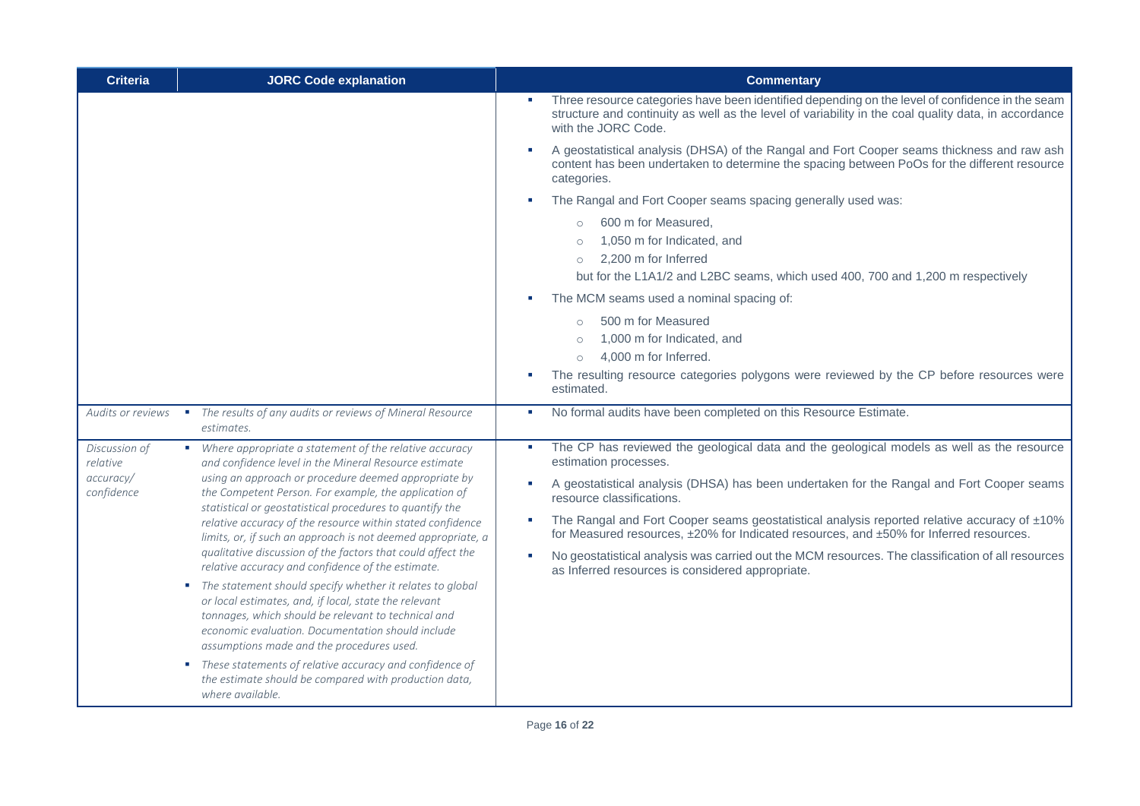| <b>Criteria</b>                                      | <b>JORC Code explanation</b>                                                                                                                                                                                                                                                                                                                                                                                                                                                                                                                                                                                                                                                                                                                                                                                                                                                                                                                                                   | <b>Commentary</b>                                                                                                                                                                                                                                                                                                                                                                                                                                                                                                                                                                              |
|------------------------------------------------------|--------------------------------------------------------------------------------------------------------------------------------------------------------------------------------------------------------------------------------------------------------------------------------------------------------------------------------------------------------------------------------------------------------------------------------------------------------------------------------------------------------------------------------------------------------------------------------------------------------------------------------------------------------------------------------------------------------------------------------------------------------------------------------------------------------------------------------------------------------------------------------------------------------------------------------------------------------------------------------|------------------------------------------------------------------------------------------------------------------------------------------------------------------------------------------------------------------------------------------------------------------------------------------------------------------------------------------------------------------------------------------------------------------------------------------------------------------------------------------------------------------------------------------------------------------------------------------------|
|                                                      |                                                                                                                                                                                                                                                                                                                                                                                                                                                                                                                                                                                                                                                                                                                                                                                                                                                                                                                                                                                | Three resource categories have been identified depending on the level of confidence in the seam<br>structure and continuity as well as the level of variability in the coal quality data, in accordance<br>with the JORC Code.                                                                                                                                                                                                                                                                                                                                                                 |
|                                                      |                                                                                                                                                                                                                                                                                                                                                                                                                                                                                                                                                                                                                                                                                                                                                                                                                                                                                                                                                                                | A geostatistical analysis (DHSA) of the Rangal and Fort Cooper seams thickness and raw ash<br>content has been undertaken to determine the spacing between PoOs for the different resource<br>categories.                                                                                                                                                                                                                                                                                                                                                                                      |
|                                                      |                                                                                                                                                                                                                                                                                                                                                                                                                                                                                                                                                                                                                                                                                                                                                                                                                                                                                                                                                                                | The Rangal and Fort Cooper seams spacing generally used was:                                                                                                                                                                                                                                                                                                                                                                                                                                                                                                                                   |
|                                                      |                                                                                                                                                                                                                                                                                                                                                                                                                                                                                                                                                                                                                                                                                                                                                                                                                                                                                                                                                                                | 600 m for Measured.<br>$\circ$<br>1,050 m for Indicated, and<br>$\circ$<br>2,200 m for Inferred<br>$\circ$<br>but for the L1A1/2 and L2BC seams, which used 400, 700 and 1,200 m respectively<br>The MCM seams used a nominal spacing of:                                                                                                                                                                                                                                                                                                                                                      |
|                                                      |                                                                                                                                                                                                                                                                                                                                                                                                                                                                                                                                                                                                                                                                                                                                                                                                                                                                                                                                                                                | 500 m for Measured<br>$\circ$<br>1,000 m for Indicated, and<br>$\circ$<br>4.000 m for Inferred.<br>$\circ$<br>The resulting resource categories polygons were reviewed by the CP before resources were<br>estimated.                                                                                                                                                                                                                                                                                                                                                                           |
| Audits or reviews                                    | • The results of any audits or reviews of Mineral Resource<br>estimates.                                                                                                                                                                                                                                                                                                                                                                                                                                                                                                                                                                                                                                                                                                                                                                                                                                                                                                       | No formal audits have been completed on this Resource Estimate.                                                                                                                                                                                                                                                                                                                                                                                                                                                                                                                                |
| Discussion of<br>relative<br>accuracy/<br>confidence | • Where appropriate a statement of the relative accuracy<br>and confidence level in the Mineral Resource estimate<br>using an approach or procedure deemed appropriate by<br>the Competent Person. For example, the application of<br>statistical or geostatistical procedures to quantify the<br>relative accuracy of the resource within stated confidence<br>limits, or, if such an approach is not deemed appropriate, a<br>qualitative discussion of the factors that could affect the<br>relative accuracy and confidence of the estimate.<br>• The statement should specify whether it relates to global<br>or local estimates, and, if local, state the relevant<br>tonnages, which should be relevant to technical and<br>economic evaluation. Documentation should include<br>assumptions made and the procedures used.<br>These statements of relative accuracy and confidence of<br>٠<br>the estimate should be compared with production data,<br>where available. | The CP has reviewed the geological data and the geological models as well as the resource<br>estimation processes.<br>A geostatistical analysis (DHSA) has been undertaken for the Rangal and Fort Cooper seams<br>resource classifications.<br>The Rangal and Fort Cooper seams geostatistical analysis reported relative accuracy of ±10%<br>for Measured resources, ±20% for Indicated resources, and ±50% for Inferred resources.<br>No geostatistical analysis was carried out the MCM resources. The classification of all resources<br>as Inferred resources is considered appropriate. |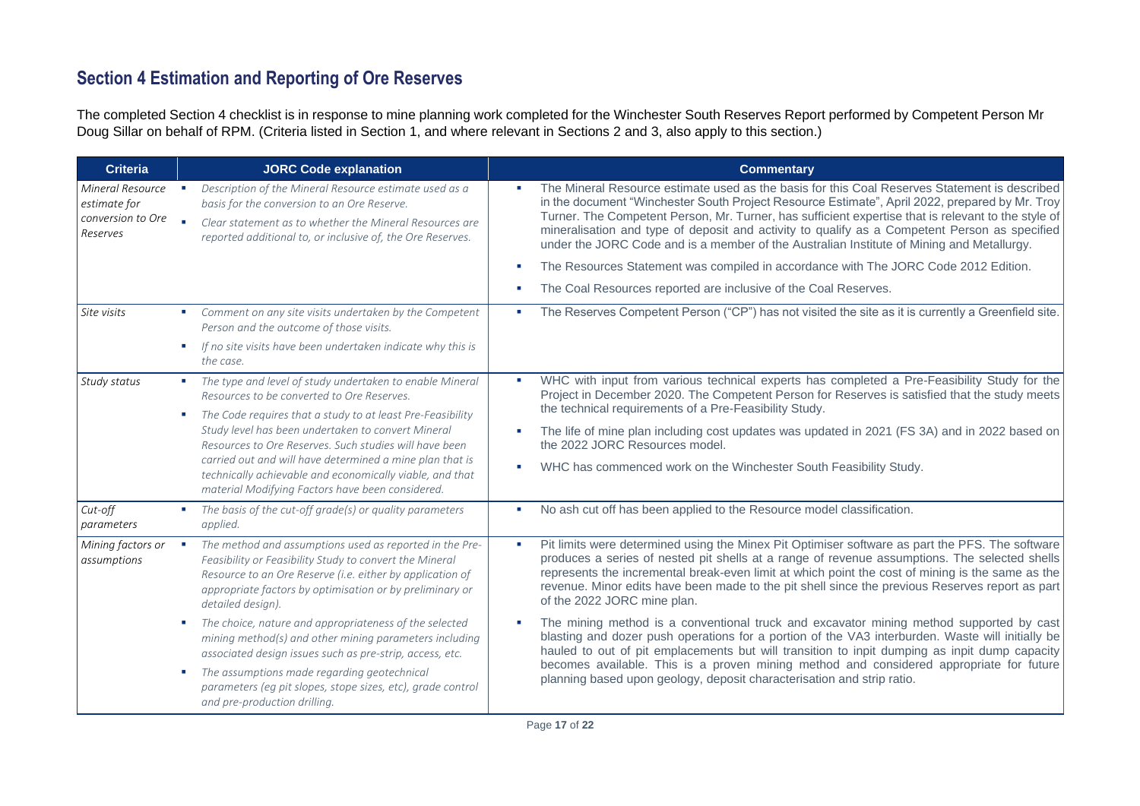### **Section 4 Estimation and Reporting of Ore Reserves**

The completed Section 4 checklist is in response to mine planning work completed for the Winchester South Reserves Report performed by Competent Person Mr Doug Sillar on behalf of RPM. (Criteria listed in Section 1, and where relevant in Sections 2 and 3, also apply to this section.)

| <b>Criteria</b>                                                   | <b>JORC Code explanation</b>                                                                                                                                                                                                                                                                                                                                                                                                                                                           | <b>Commentary</b>                                                                                                                                                                                                                                                                                                                                                                                                                                                                                                                                                                                                                                                         |
|-------------------------------------------------------------------|----------------------------------------------------------------------------------------------------------------------------------------------------------------------------------------------------------------------------------------------------------------------------------------------------------------------------------------------------------------------------------------------------------------------------------------------------------------------------------------|---------------------------------------------------------------------------------------------------------------------------------------------------------------------------------------------------------------------------------------------------------------------------------------------------------------------------------------------------------------------------------------------------------------------------------------------------------------------------------------------------------------------------------------------------------------------------------------------------------------------------------------------------------------------------|
| Mineral Resource<br>estimate for<br>conversion to Ore<br>Reserves | Description of the Mineral Resource estimate used as a<br>×<br>basis for the conversion to an Ore Reserve.<br>×.<br>Clear statement as to whether the Mineral Resources are<br>reported additional to, or inclusive of, the Ore Reserves.                                                                                                                                                                                                                                              | The Mineral Resource estimate used as the basis for this Coal Reserves Statement is described<br>in the document "Winchester South Project Resource Estimate", April 2022, prepared by Mr. Troy<br>Turner. The Competent Person, Mr. Turner, has sufficient expertise that is relevant to the style of<br>mineralisation and type of deposit and activity to qualify as a Competent Person as specified<br>under the JORC Code and is a member of the Australian Institute of Mining and Metallurgy.<br>The Resources Statement was compiled in accordance with The JORC Code 2012 Edition.<br>r.<br>The Coal Resources reported are inclusive of the Coal Reserves.<br>× |
| Site visits                                                       | Comment on any site visits undertaken by the Competent<br>$\mathbf{m}$<br>Person and the outcome of those visits.<br>If no site visits have been undertaken indicate why this is<br>$\mathbf{u}$<br>the case.                                                                                                                                                                                                                                                                          | The Reserves Competent Person ("CP") has not visited the site as it is currently a Greenfield site.<br>×                                                                                                                                                                                                                                                                                                                                                                                                                                                                                                                                                                  |
| Study status                                                      | The type and level of study undertaken to enable Mineral<br>$\mathcal{H}$<br>Resources to be converted to Ore Reserves.<br>The Code requires that a study to at least Pre-Feasibility<br>٠<br>Study level has been undertaken to convert Mineral<br>Resources to Ore Reserves. Such studies will have been<br>carried out and will have determined a mine plan that is<br>technically achievable and economically viable, and that<br>material Modifying Factors have been considered. | WHC with input from various technical experts has completed a Pre-Feasibility Study for the<br>Project in December 2020. The Competent Person for Reserves is satisfied that the study meets<br>the technical requirements of a Pre-Feasibility Study.<br>The life of mine plan including cost updates was updated in 2021 (FS 3A) and in 2022 based on<br>the 2022 JORC Resources model.<br>WHC has commenced work on the Winchester South Feasibility Study.<br>T,                                                                                                                                                                                                      |
| Cut-off<br>parameters                                             | The basis of the cut-off grade(s) or quality parameters<br>$\mathbf{m}$<br>applied.                                                                                                                                                                                                                                                                                                                                                                                                    | No ash cut off has been applied to the Resource model classification.<br>٠                                                                                                                                                                                                                                                                                                                                                                                                                                                                                                                                                                                                |
| Mining factors or<br>assumptions                                  | The method and assumptions used as reported in the Pre-<br>Feasibility or Feasibility Study to convert the Mineral<br>Resource to an Ore Reserve (i.e. either by application of<br>appropriate factors by optimisation or by preliminary or<br>detailed design).                                                                                                                                                                                                                       | Pit limits were determined using the Minex Pit Optimiser software as part the PFS. The software<br>produces a series of nested pit shells at a range of revenue assumptions. The selected shells<br>represents the incremental break-even limit at which point the cost of mining is the same as the<br>revenue. Minor edits have been made to the pit shell since the previous Reserves report as part<br>of the 2022 JORC mine plan.                                                                                                                                                                                                                                    |
|                                                                   | The choice, nature and appropriateness of the selected<br>$\mathcal{H}$<br>mining method(s) and other mining parameters including<br>associated design issues such as pre-strip, access, etc.<br>The assumptions made regarding geotechnical<br>٠<br>parameters (eg pit slopes, stope sizes, etc), grade control<br>and pre-production drilling.                                                                                                                                       | The mining method is a conventional truck and excavator mining method supported by cast<br>blasting and dozer push operations for a portion of the VA3 interburden. Waste will initially be<br>hauled to out of pit emplacements but will transition to inpit dumping as inpit dump capacity<br>becomes available. This is a proven mining method and considered appropriate for future<br>planning based upon geology, deposit characterisation and strip ratio.                                                                                                                                                                                                         |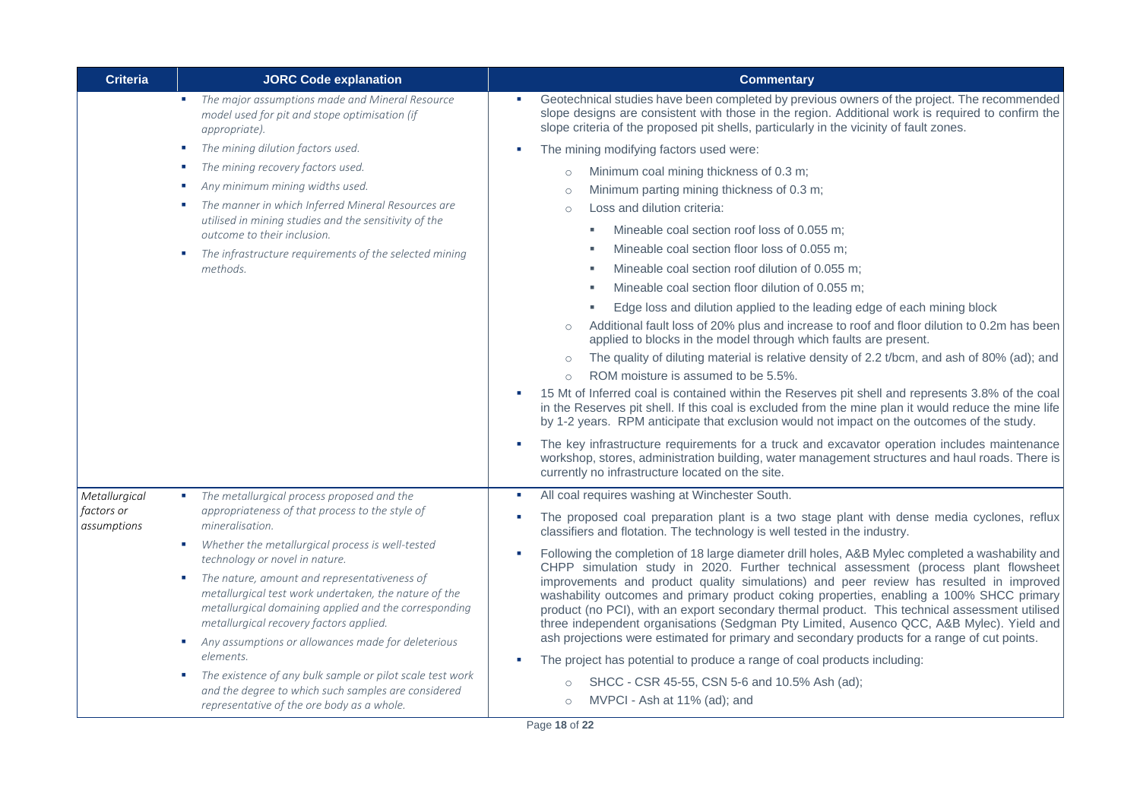| <b>Criteria</b>                            | <b>JORC Code explanation</b>                                                                                                                                                                                                                                                                                                                                                                                                                                                                                                                                                                                                                                                    | <b>Commentary</b>                                                                                                                                                                                                                                                                                                                                                                                                                                                                                                                                                                                                                                                                                                                                                                                                                                                                                                                                                                                                                                                                                                                |
|--------------------------------------------|---------------------------------------------------------------------------------------------------------------------------------------------------------------------------------------------------------------------------------------------------------------------------------------------------------------------------------------------------------------------------------------------------------------------------------------------------------------------------------------------------------------------------------------------------------------------------------------------------------------------------------------------------------------------------------|----------------------------------------------------------------------------------------------------------------------------------------------------------------------------------------------------------------------------------------------------------------------------------------------------------------------------------------------------------------------------------------------------------------------------------------------------------------------------------------------------------------------------------------------------------------------------------------------------------------------------------------------------------------------------------------------------------------------------------------------------------------------------------------------------------------------------------------------------------------------------------------------------------------------------------------------------------------------------------------------------------------------------------------------------------------------------------------------------------------------------------|
|                                            | The major assumptions made and Mineral Resource<br>model used for pit and stope optimisation (if<br>appropriate).                                                                                                                                                                                                                                                                                                                                                                                                                                                                                                                                                               | Geotechnical studies have been completed by previous owners of the project. The recommended<br>slope designs are consistent with those in the region. Additional work is required to confirm the<br>slope criteria of the proposed pit shells, particularly in the vicinity of fault zones.                                                                                                                                                                                                                                                                                                                                                                                                                                                                                                                                                                                                                                                                                                                                                                                                                                      |
|                                            | The mining dilution factors used.<br>The mining recovery factors used.<br>Any minimum mining widths used.<br>The manner in which Inferred Mineral Resources are<br>٠<br>utilised in mining studies and the sensitivity of the<br>outcome to their inclusion.<br>The infrastructure requirements of the selected mining<br>٠<br>methods.                                                                                                                                                                                                                                                                                                                                         | The mining modifying factors used were:<br>×<br>Minimum coal mining thickness of 0.3 m;<br>$\circ$<br>Minimum parting mining thickness of 0.3 m;<br>$\circ$<br>Loss and dilution criteria:<br>$\circ$<br>Mineable coal section roof loss of 0.055 m;<br>Mineable coal section floor loss of 0.055 m;<br>Mineable coal section roof dilution of 0.055 m;<br>Mineable coal section floor dilution of 0.055 m;                                                                                                                                                                                                                                                                                                                                                                                                                                                                                                                                                                                                                                                                                                                      |
|                                            |                                                                                                                                                                                                                                                                                                                                                                                                                                                                                                                                                                                                                                                                                 | Edge loss and dilution applied to the leading edge of each mining block<br>Additional fault loss of 20% plus and increase to roof and floor dilution to 0.2m has been<br>$\circ$<br>applied to blocks in the model through which faults are present.<br>The quality of diluting material is relative density of 2.2 t/bcm, and ash of 80% (ad); and<br>$\circ$<br>ROM moisture is assumed to be 5.5%.<br>$\circ$<br>15 Mt of Inferred coal is contained within the Reserves pit shell and represents 3.8% of the coal<br>in the Reserves pit shell. If this coal is excluded from the mine plan it would reduce the mine life<br>by 1-2 years. RPM anticipate that exclusion would not impact on the outcomes of the study.<br>The key infrastructure requirements for a truck and excavator operation includes maintenance<br>workshop, stores, administration building, water management structures and haul roads. There is<br>currently no infrastructure located on the site.                                                                                                                                               |
| Metallurgical<br>factors or<br>assumptions | The metallurgical process proposed and the<br>appropriateness of that process to the style of<br>mineralisation.<br>Whether the metallurgical process is well-tested<br>technology or novel in nature.<br>The nature, amount and representativeness of<br>metallurgical test work undertaken, the nature of the<br>metallurgical domaining applied and the corresponding<br>metallurgical recovery factors applied.<br>Any assumptions or allowances made for deleterious<br>$\blacksquare$<br>elements.<br>The existence of any bulk sample or pilot scale test work<br>٠<br>and the degree to which such samples are considered<br>representative of the ore body as a whole. | All coal requires washing at Winchester South.<br>×<br>The proposed coal preparation plant is a two stage plant with dense media cyclones, reflux<br>classifiers and flotation. The technology is well tested in the industry.<br>Following the completion of 18 large diameter drill holes, A&B Mylec completed a washability and<br>CHPP simulation study in 2020. Further technical assessment (process plant flowsheet<br>improvements and product quality simulations) and peer review has resulted in improved<br>washability outcomes and primary product coking properties, enabling a 100% SHCC primary<br>product (no PCI), with an export secondary thermal product. This technical assessment utilised<br>three independent organisations (Sedgman Pty Limited, Ausenco QCC, A&B Mylec). Yield and<br>ash projections were estimated for primary and secondary products for a range of cut points.<br>The project has potential to produce a range of coal products including:<br>$\mathcal{L}_{\mathcal{A}}$<br>SHCC - CSR 45-55, CSN 5-6 and 10.5% Ash (ad);<br>$\circ$<br>MVPCI - Ash at 11% (ad); and<br>$\circ$ |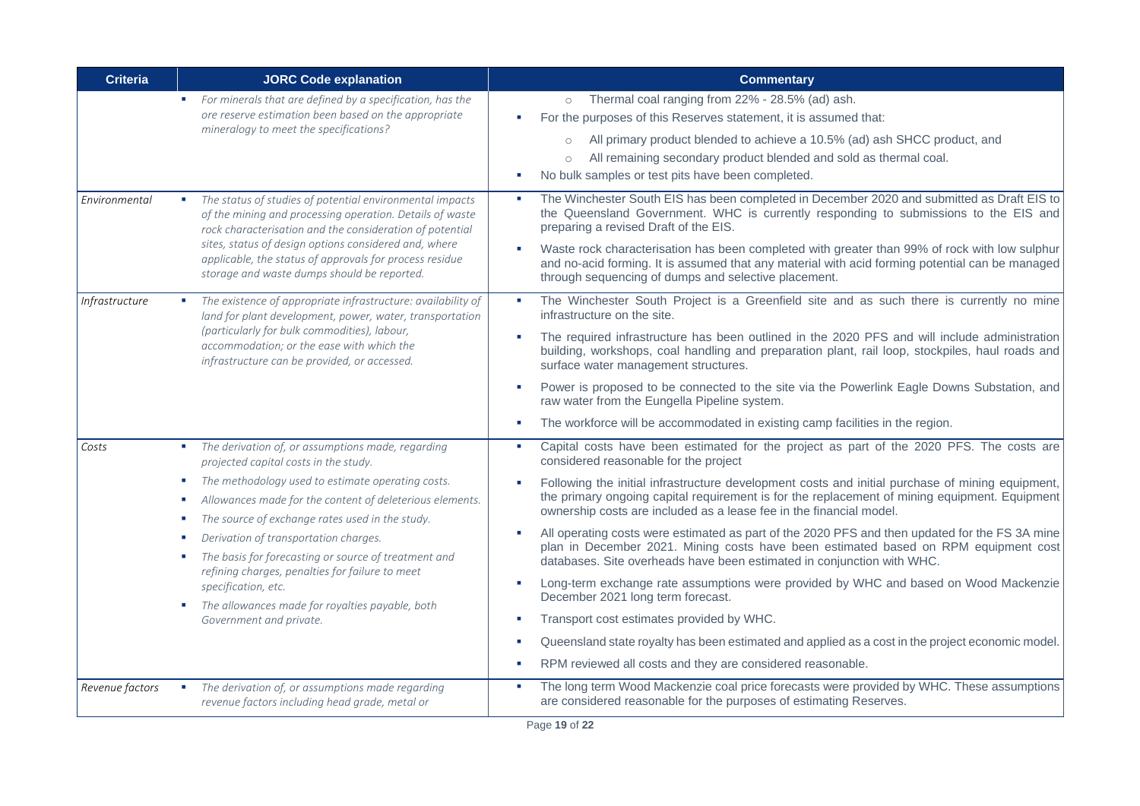| Criteria        | <b>JORC Code explanation</b>                                                                                                                                                                                                                                                                                                                                                                                                                                                                                                                        | <b>Commentary</b>                                                                                                                                                                                                                                                                                                                                                                                                                                                                                                                                                                                                                                                                                                                                                                                                                                                                                                                                                                                                                                                |
|-----------------|-----------------------------------------------------------------------------------------------------------------------------------------------------------------------------------------------------------------------------------------------------------------------------------------------------------------------------------------------------------------------------------------------------------------------------------------------------------------------------------------------------------------------------------------------------|------------------------------------------------------------------------------------------------------------------------------------------------------------------------------------------------------------------------------------------------------------------------------------------------------------------------------------------------------------------------------------------------------------------------------------------------------------------------------------------------------------------------------------------------------------------------------------------------------------------------------------------------------------------------------------------------------------------------------------------------------------------------------------------------------------------------------------------------------------------------------------------------------------------------------------------------------------------------------------------------------------------------------------------------------------------|
|                 | • For minerals that are defined by a specification, has the<br>ore reserve estimation been based on the appropriate<br>mineralogy to meet the specifications?                                                                                                                                                                                                                                                                                                                                                                                       | o Thermal coal ranging from 22% - 28.5% (ad) ash.<br>For the purposes of this Reserves statement, it is assumed that:<br>×<br>All primary product blended to achieve a 10.5% (ad) ash SHCC product, and<br>$\circ$<br>All remaining secondary product blended and sold as thermal coal.<br>$\circ$<br>No bulk samples or test pits have been completed.<br>×                                                                                                                                                                                                                                                                                                                                                                                                                                                                                                                                                                                                                                                                                                     |
| Environmental   | The status of studies of potential environmental impacts<br>of the mining and processing operation. Details of waste<br>rock characterisation and the consideration of potential<br>sites, status of design options considered and, where<br>applicable, the status of approvals for process residue<br>storage and waste dumps should be reported.                                                                                                                                                                                                 | The Winchester South EIS has been completed in December 2020 and submitted as Draft EIS to<br>C.<br>the Queensland Government. WHC is currently responding to submissions to the EIS and<br>preparing a revised Draft of the EIS.<br>Waste rock characterisation has been completed with greater than 99% of rock with low sulphur<br>Î.<br>and no-acid forming. It is assumed that any material with acid forming potential can be managed<br>through sequencing of dumps and selective placement.                                                                                                                                                                                                                                                                                                                                                                                                                                                                                                                                                              |
| Infrastructure  | The existence of appropriate infrastructure: availability of<br>land for plant development, power, water, transportation<br>(particularly for bulk commodities), labour,<br>accommodation; or the ease with which the<br>infrastructure can be provided, or accessed.                                                                                                                                                                                                                                                                               | The Winchester South Project is a Greenfield site and as such there is currently no mine<br>×<br>infrastructure on the site.<br>The required infrastructure has been outlined in the 2020 PFS and will include administration<br>×<br>building, workshops, coal handling and preparation plant, rail loop, stockpiles, haul roads and<br>surface water management structures.<br>Power is proposed to be connected to the site via the Powerlink Eagle Downs Substation, and<br>×<br>raw water from the Eungella Pipeline system.<br>The workforce will be accommodated in existing camp facilities in the region.<br>×                                                                                                                                                                                                                                                                                                                                                                                                                                          |
| Costs           | The derivation of, or assumptions made, regarding<br>$\blacksquare$<br>projected capital costs in the study.<br>The methodology used to estimate operating costs.<br>٠<br>Allowances made for the content of deleterious elements.<br>The source of exchange rates used in the study.<br>Derivation of transportation charges.<br>The basis for forecasting or source of treatment and<br>refining charges, penalties for failure to meet<br>specification, etc.<br>The allowances made for royalties payable, both<br>×<br>Government and private. | Capital costs have been estimated for the project as part of the 2020 PFS. The costs are<br>×<br>considered reasonable for the project<br>Following the initial infrastructure development costs and initial purchase of mining equipment,<br>×<br>the primary ongoing capital requirement is for the replacement of mining equipment. Equipment<br>ownership costs are included as a lease fee in the financial model.<br>All operating costs were estimated as part of the 2020 PFS and then updated for the FS 3A mine<br>C.<br>plan in December 2021. Mining costs have been estimated based on RPM equipment cost<br>databases. Site overheads have been estimated in conjunction with WHC.<br>Long-term exchange rate assumptions were provided by WHC and based on Wood Mackenzie<br>×<br>December 2021 long term forecast.<br>Transport cost estimates provided by WHC.<br>×<br>Queensland state royalty has been estimated and applied as a cost in the project economic model.<br>×<br>RPM reviewed all costs and they are considered reasonable.<br>× |
| Revenue factors | The derivation of, or assumptions made regarding<br>m.<br>revenue factors including head grade, metal or                                                                                                                                                                                                                                                                                                                                                                                                                                            | The long term Wood Mackenzie coal price forecasts were provided by WHC. These assumptions<br>×<br>are considered reasonable for the purposes of estimating Reserves.                                                                                                                                                                                                                                                                                                                                                                                                                                                                                                                                                                                                                                                                                                                                                                                                                                                                                             |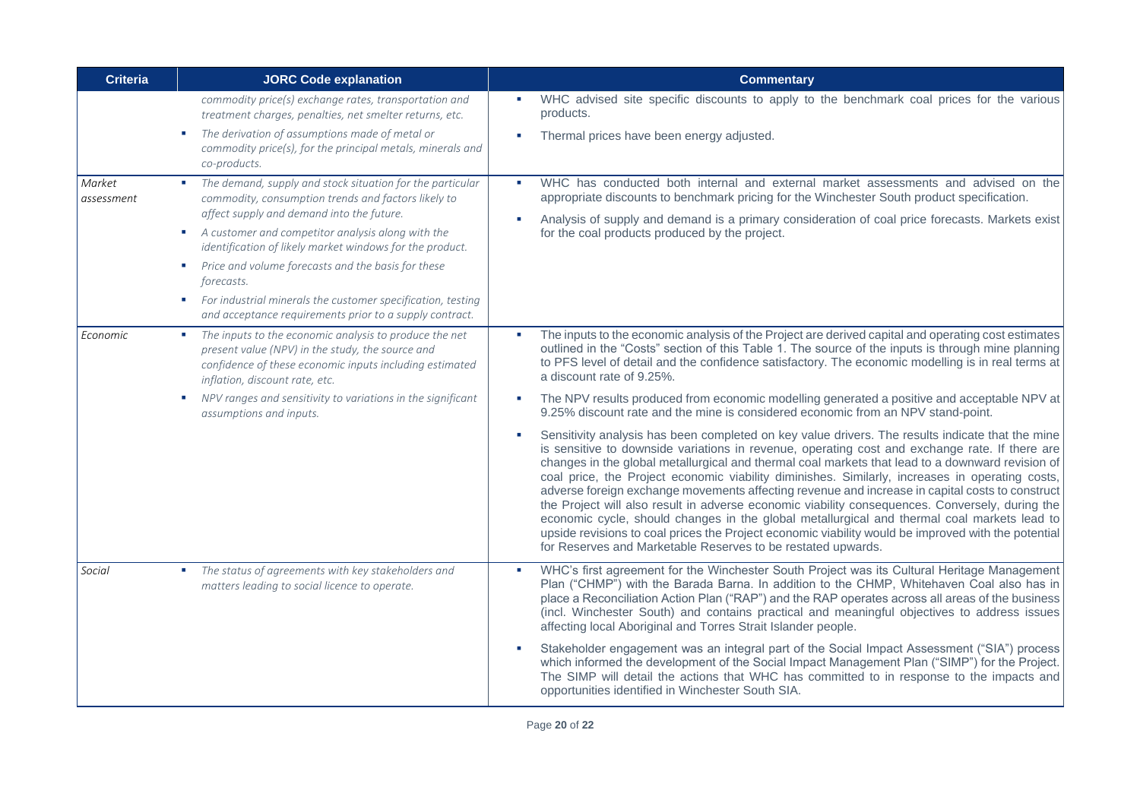| <b>Criteria</b>      | <b>JORC Code explanation</b>                                                                                                                                                                                                                                                                                                                                                                                                                                                                   | <b>Commentary</b>                                                                                                                                                                                                                                                                                                                                                                                                                                                                                                                                                                                                                                                                                                                                                                                                                                                                          |
|----------------------|------------------------------------------------------------------------------------------------------------------------------------------------------------------------------------------------------------------------------------------------------------------------------------------------------------------------------------------------------------------------------------------------------------------------------------------------------------------------------------------------|--------------------------------------------------------------------------------------------------------------------------------------------------------------------------------------------------------------------------------------------------------------------------------------------------------------------------------------------------------------------------------------------------------------------------------------------------------------------------------------------------------------------------------------------------------------------------------------------------------------------------------------------------------------------------------------------------------------------------------------------------------------------------------------------------------------------------------------------------------------------------------------------|
|                      | commodity price(s) exchange rates, transportation and<br>treatment charges, penalties, net smelter returns, etc.                                                                                                                                                                                                                                                                                                                                                                               | WHC advised site specific discounts to apply to the benchmark coal prices for the various<br>×<br>products.                                                                                                                                                                                                                                                                                                                                                                                                                                                                                                                                                                                                                                                                                                                                                                                |
|                      | The derivation of assumptions made of metal or<br>٠<br>commodity price(s), for the principal metals, minerals and<br>co-products.                                                                                                                                                                                                                                                                                                                                                              | Thermal prices have been energy adjusted.<br>Ì.                                                                                                                                                                                                                                                                                                                                                                                                                                                                                                                                                                                                                                                                                                                                                                                                                                            |
| Market<br>assessment | The demand, supply and stock situation for the particular<br>m.<br>commodity, consumption trends and factors likely to<br>affect supply and demand into the future.<br>A customer and competitor analysis along with the<br>identification of likely market windows for the product.<br>Price and volume forecasts and the basis for these<br>B.<br>forecasts.<br>For industrial minerals the customer specification, testing<br>E.<br>and acceptance requirements prior to a supply contract. | WHC has conducted both internal and external market assessments and advised on the<br>×<br>appropriate discounts to benchmark pricing for the Winchester South product specification.<br>Analysis of supply and demand is a primary consideration of coal price forecasts. Markets exist<br>Ì.<br>for the coal products produced by the project.                                                                                                                                                                                                                                                                                                                                                                                                                                                                                                                                           |
| Economic             | The inputs to the economic analysis to produce the net<br>B.<br>present value (NPV) in the study, the source and<br>confidence of these economic inputs including estimated<br>inflation, discount rate, etc.<br>NPV ranges and sensitivity to variations in the significant<br>m.<br>assumptions and inputs.                                                                                                                                                                                  | The inputs to the economic analysis of the Project are derived capital and operating cost estimates<br>outlined in the "Costs" section of this Table 1. The source of the inputs is through mine planning<br>to PFS level of detail and the confidence satisfactory. The economic modelling is in real terms at<br>a discount rate of 9.25%.<br>The NPV results produced from economic modelling generated a positive and acceptable NPV at<br>×<br>9.25% discount rate and the mine is considered economic from an NPV stand-point.                                                                                                                                                                                                                                                                                                                                                       |
|                      |                                                                                                                                                                                                                                                                                                                                                                                                                                                                                                | Sensitivity analysis has been completed on key value drivers. The results indicate that the mine<br>×<br>is sensitive to downside variations in revenue, operating cost and exchange rate. If there are<br>changes in the global metallurgical and thermal coal markets that lead to a downward revision of<br>coal price, the Project economic viability diminishes. Similarly, increases in operating costs,<br>adverse foreign exchange movements affecting revenue and increase in capital costs to construct<br>the Project will also result in adverse economic viability consequences. Conversely, during the<br>economic cycle, should changes in the global metallurgical and thermal coal markets lead to<br>upside revisions to coal prices the Project economic viability would be improved with the potential<br>for Reserves and Marketable Reserves to be restated upwards. |
| Social               | The status of agreements with key stakeholders and<br>٠<br>matters leading to social licence to operate.                                                                                                                                                                                                                                                                                                                                                                                       | WHC's first agreement for the Winchester South Project was its Cultural Heritage Management<br>×<br>Plan ("CHMP") with the Barada Barna. In addition to the CHMP, Whitehaven Coal also has in<br>place a Reconciliation Action Plan ("RAP") and the RAP operates across all areas of the business<br>(incl. Winchester South) and contains practical and meaningful objectives to address issues<br>affecting local Aboriginal and Torres Strait Islander people.<br>Stakeholder engagement was an integral part of the Social Impact Assessment ("SIA") process<br>which informed the development of the Social Impact Management Plan ("SIMP") for the Project.<br>The SIMP will detail the actions that WHC has committed to in response to the impacts and<br>opportunities identified in Winchester South SIA.                                                                        |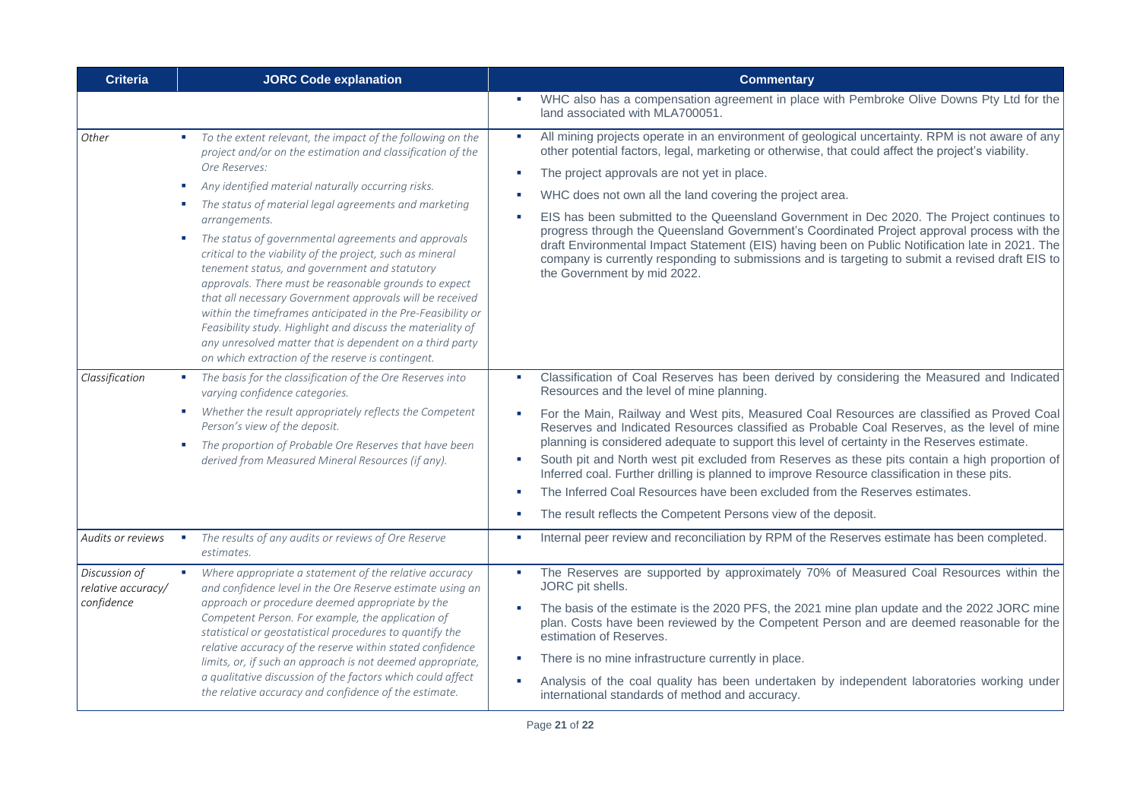| <b>Criteria</b>                                   | <b>JORC Code explanation</b>                                                                                                                                                                                                                                                                                                                                                                                                                                                                                                                                                                                                                                                                                                                                                                                                                                | <b>Commentary</b>                                                                                                                                                                                                                                                                                                                                                                                                                                                                                                                                                                                                                                                                                                                                                                                                                   |
|---------------------------------------------------|-------------------------------------------------------------------------------------------------------------------------------------------------------------------------------------------------------------------------------------------------------------------------------------------------------------------------------------------------------------------------------------------------------------------------------------------------------------------------------------------------------------------------------------------------------------------------------------------------------------------------------------------------------------------------------------------------------------------------------------------------------------------------------------------------------------------------------------------------------------|-------------------------------------------------------------------------------------------------------------------------------------------------------------------------------------------------------------------------------------------------------------------------------------------------------------------------------------------------------------------------------------------------------------------------------------------------------------------------------------------------------------------------------------------------------------------------------------------------------------------------------------------------------------------------------------------------------------------------------------------------------------------------------------------------------------------------------------|
|                                                   |                                                                                                                                                                                                                                                                                                                                                                                                                                                                                                                                                                                                                                                                                                                                                                                                                                                             | WHC also has a compensation agreement in place with Pembroke Olive Downs Pty Ltd for the<br>land associated with MLA700051.                                                                                                                                                                                                                                                                                                                                                                                                                                                                                                                                                                                                                                                                                                         |
| Other                                             | To the extent relevant, the impact of the following on the<br>$\blacksquare$<br>project and/or on the estimation and classification of the<br>Ore Reserves:<br>Any identified material naturally occurring risks.<br>٠<br>The status of material legal agreements and marketing<br>arrangements.<br>The status of governmental agreements and approvals<br>$\blacksquare$<br>critical to the viability of the project, such as mineral<br>tenement status, and government and statutory<br>approvals. There must be reasonable grounds to expect<br>that all necessary Government approvals will be received<br>within the timeframes anticipated in the Pre-Feasibility or<br>Feasibility study. Highlight and discuss the materiality of<br>any unresolved matter that is dependent on a third party<br>on which extraction of the reserve is contingent. | All mining projects operate in an environment of geological uncertainty. RPM is not aware of any<br>other potential factors, legal, marketing or otherwise, that could affect the project's viability.<br>The project approvals are not yet in place.<br>×<br>WHC does not own all the land covering the project area.<br>×<br>EIS has been submitted to the Queensland Government in Dec 2020. The Project continues to<br>progress through the Queensland Government's Coordinated Project approval process with the<br>draft Environmental Impact Statement (EIS) having been on Public Notification late in 2021. The<br>company is currently responding to submissions and is targeting to submit a revised draft EIS to<br>the Government by mid 2022.                                                                        |
| Classification                                    | The basis for the classification of the Ore Reserves into<br><b>Contract</b><br>varying confidence categories.<br>Whether the result appropriately reflects the Competent<br>Person's view of the deposit.<br>The proportion of Probable Ore Reserves that have been<br>derived from Measured Mineral Resources (if any).                                                                                                                                                                                                                                                                                                                                                                                                                                                                                                                                   | Classification of Coal Reserves has been derived by considering the Measured and Indicated<br>×<br>Resources and the level of mine planning.<br>For the Main, Railway and West pits, Measured Coal Resources are classified as Proved Coal<br>a.<br>Reserves and Indicated Resources classified as Probable Coal Reserves, as the level of mine<br>planning is considered adequate to support this level of certainty in the Reserves estimate.<br>South pit and North west pit excluded from Reserves as these pits contain a high proportion of<br>Inferred coal. Further drilling is planned to improve Resource classification in these pits.<br>The Inferred Coal Resources have been excluded from the Reserves estimates.<br>×<br>The result reflects the Competent Persons view of the deposit.<br>$\overline{\phantom{a}}$ |
| Audits or reviews                                 | The results of any audits or reviews of Ore Reserve<br><b>College</b><br>estimates.                                                                                                                                                                                                                                                                                                                                                                                                                                                                                                                                                                                                                                                                                                                                                                         | Internal peer review and reconciliation by RPM of the Reserves estimate has been completed.<br>×                                                                                                                                                                                                                                                                                                                                                                                                                                                                                                                                                                                                                                                                                                                                    |
| Discussion of<br>relative accuracy/<br>confidence | Where appropriate a statement of the relative accuracy<br>$\mathcal{L}_{\rm{max}}$<br>and confidence level in the Ore Reserve estimate using an<br>approach or procedure deemed appropriate by the<br>Competent Person. For example, the application of<br>statistical or geostatistical procedures to quantify the<br>relative accuracy of the reserve within stated confidence<br>limits, or, if such an approach is not deemed appropriate,<br>a qualitative discussion of the factors which could affect<br>the relative accuracy and confidence of the estimate.                                                                                                                                                                                                                                                                                       | The Reserves are supported by approximately 70% of Measured Coal Resources within the<br>JORC pit shells.<br>The basis of the estimate is the 2020 PFS, the 2021 mine plan update and the 2022 JORC mine<br>plan. Costs have been reviewed by the Competent Person and are deemed reasonable for the<br>estimation of Reserves.<br>There is no mine infrastructure currently in place.<br><b>COL</b><br>Analysis of the coal quality has been undertaken by independent laboratories working under<br>international standards of method and accuracy.                                                                                                                                                                                                                                                                               |